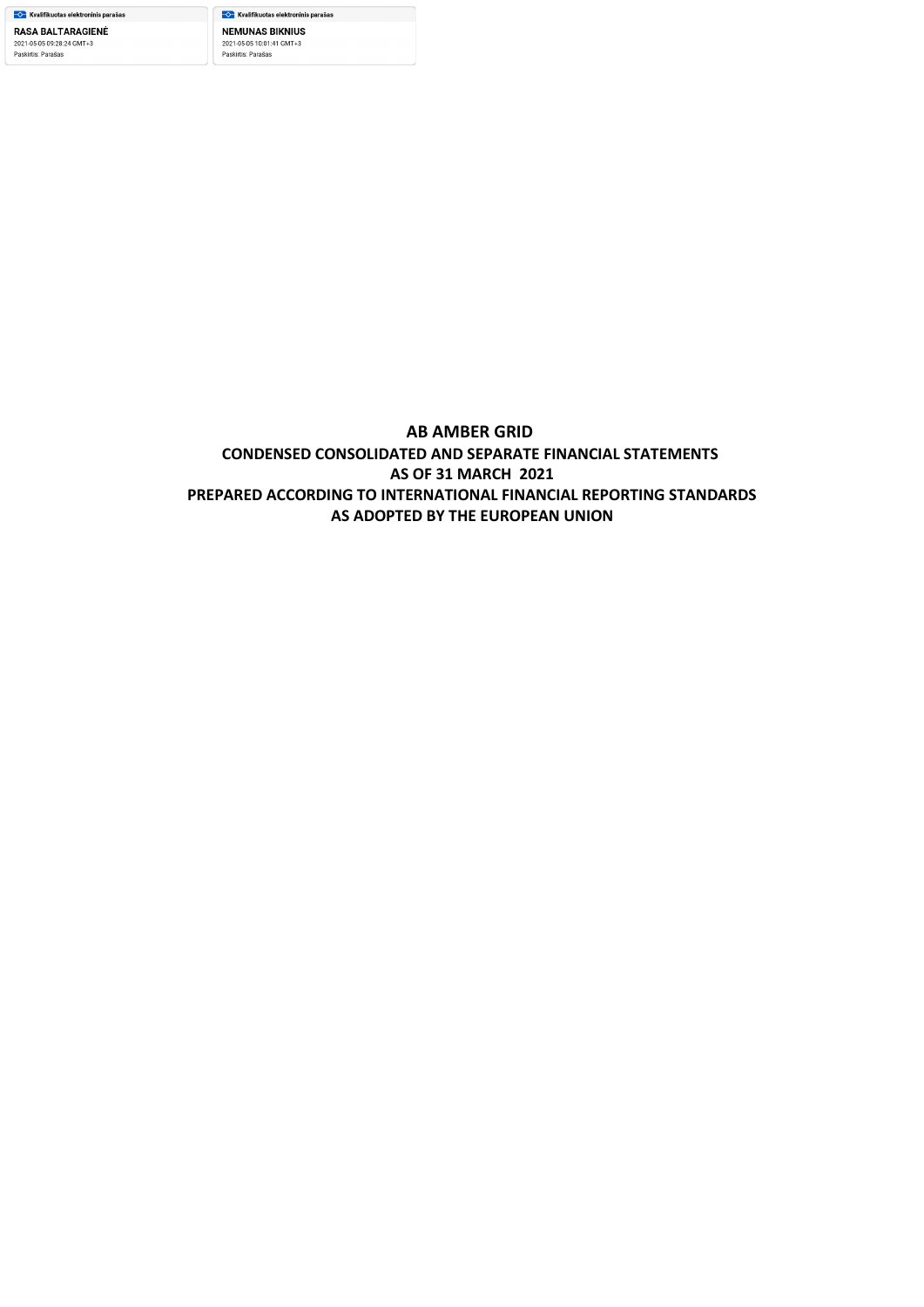<del>–</del><mark>◇ K</mark>valifikuotas elektroninis parašas **NEMUNAS BIKNIUS** 2021-05-05 10:01:41 GMT+3<br>Paskirtis: Parašas

# **AB AMBER GRID CONDENSED CONSOLIDATED AND SEPARATE FINANCIAL STATEMENTS AS OF 31 MARCH 2021 PREPARED ACCORDING TO INTERNATIONAL FINANCIAL REPORTING STANDARDS AS ADOPTED BY THE EUROPEAN UNION**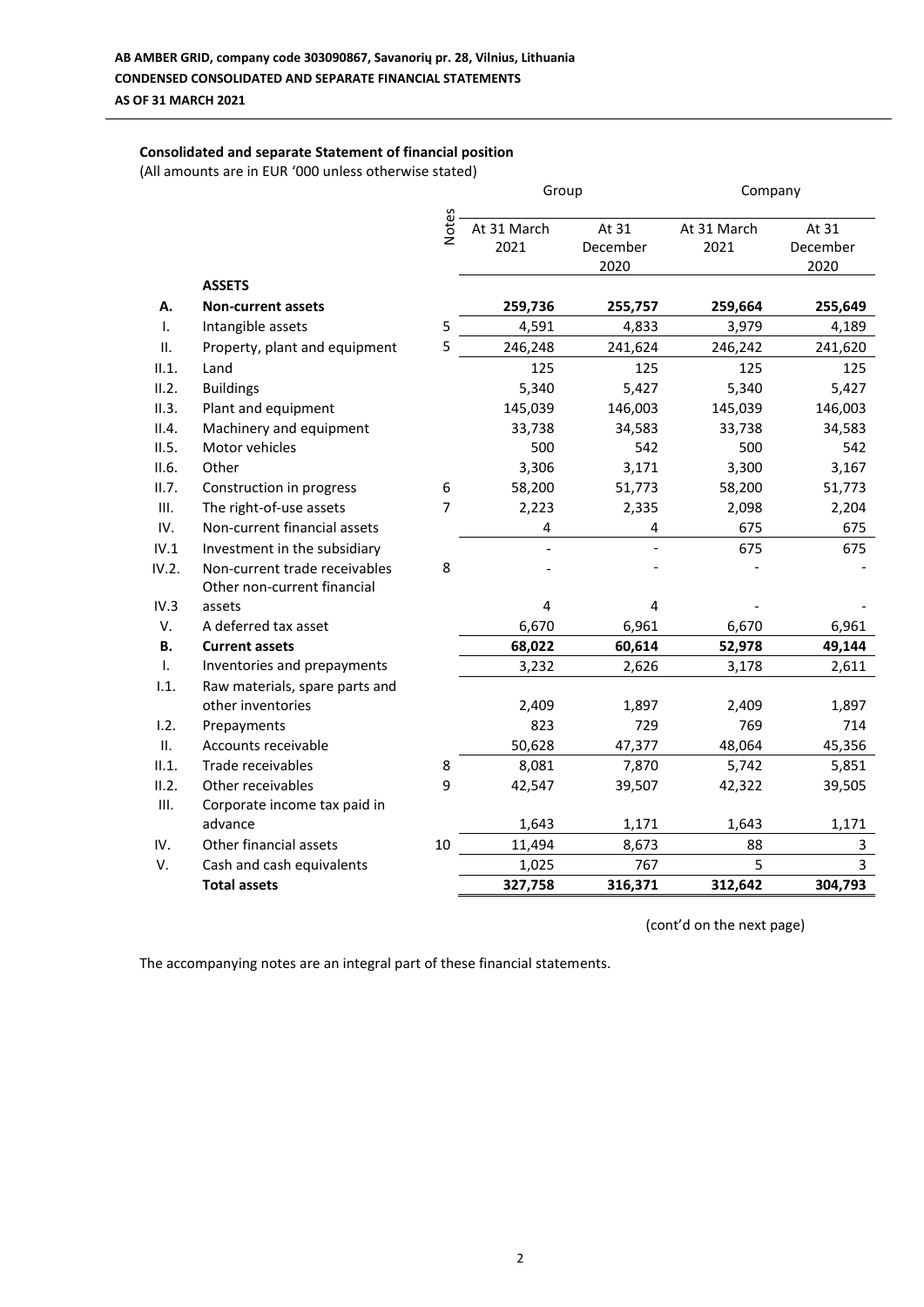## **Consolidated and separate Statement of financial position**

(All amounts are in EUR '000 unless otherwise stated)

|       |                                |                | Group       |          | Company     |          |
|-------|--------------------------------|----------------|-------------|----------|-------------|----------|
|       |                                | Notes          | At 31 March | At 31    | At 31 March | At 31    |
|       |                                |                | 2021        | December | 2021        | December |
|       |                                |                |             | 2020     |             | 2020     |
|       | <b>ASSETS</b>                  |                |             |          |             |          |
| А.    | <b>Non-current assets</b>      |                | 259,736     | 255,757  | 259,664     | 255,649  |
| I.    | Intangible assets              | 5              | 4,591       | 4,833    | 3,979       | 4,189    |
| П.    | Property, plant and equipment  | 5              | 246,248     | 241,624  | 246,242     | 241,620  |
| II.1. | Land                           |                | 125         | 125      | 125         | 125      |
| II.2. | <b>Buildings</b>               |                | 5,340       | 5,427    | 5,340       | 5,427    |
| II.3. | Plant and equipment            |                | 145,039     | 146,003  | 145,039     | 146,003  |
| II.4. | Machinery and equipment        |                | 33,738      | 34,583   | 33,738      | 34,583   |
| II.5. | Motor vehicles                 |                | 500         | 542      | 500         | 542      |
| II.6. | Other                          |                | 3,306       | 3,171    | 3,300       | 3,167    |
| II.7. | Construction in progress       | 6              | 58,200      | 51,773   | 58,200      | 51,773   |
| Ш.    | The right-of-use assets        | $\overline{7}$ | 2,223       | 2,335    | 2,098       | 2,204    |
| IV.   | Non-current financial assets   |                | 4           | 4        | 675         | 675      |
| IV.1  | Investment in the subsidiary   |                |             |          | 675         | 675      |
| IV.2. | Non-current trade receivables  | 8              |             |          |             |          |
|       | Other non-current financial    |                |             |          |             |          |
| IV.3  | assets                         |                | 4           | 4        |             |          |
| V.    | A deferred tax asset           |                | 6,670       | 6,961    | 6,670       | 6,961    |
| В.    | <b>Current assets</b>          |                | 68,022      | 60,614   | 52,978      | 49,144   |
| Τ.    | Inventories and prepayments    |                | 3,232       | 2,626    | 3,178       | 2,611    |
| 1.1.  | Raw materials, spare parts and |                |             |          |             |          |
|       | other inventories              |                | 2,409       | 1,897    | 2,409       | 1,897    |
| 1.2.  | Prepayments                    |                | 823         | 729      | 769         | 714      |
| ΙΙ.   | Accounts receivable            |                | 50,628      | 47,377   | 48,064      | 45,356   |
| II.1. | Trade receivables              | 8              | 8,081       | 7,870    | 5,742       | 5,851    |
| II.2. | Other receivables              | 9              | 42,547      | 39,507   | 42,322      | 39,505   |
| Ш.    | Corporate income tax paid in   |                |             |          |             |          |
|       | advance                        |                | 1,643       | 1,171    | 1,643       | 1,171    |
| IV.   | Other financial assets         | 10             | 11,494      | 8,673    | 88          | 3        |
| V.    | Cash and cash equivalents      |                | 1,025       | 767      | 5           | 3        |
|       | <b>Total assets</b>            |                | 327,758     | 316,371  | 312,642     | 304,793  |

(cont'd on the next page)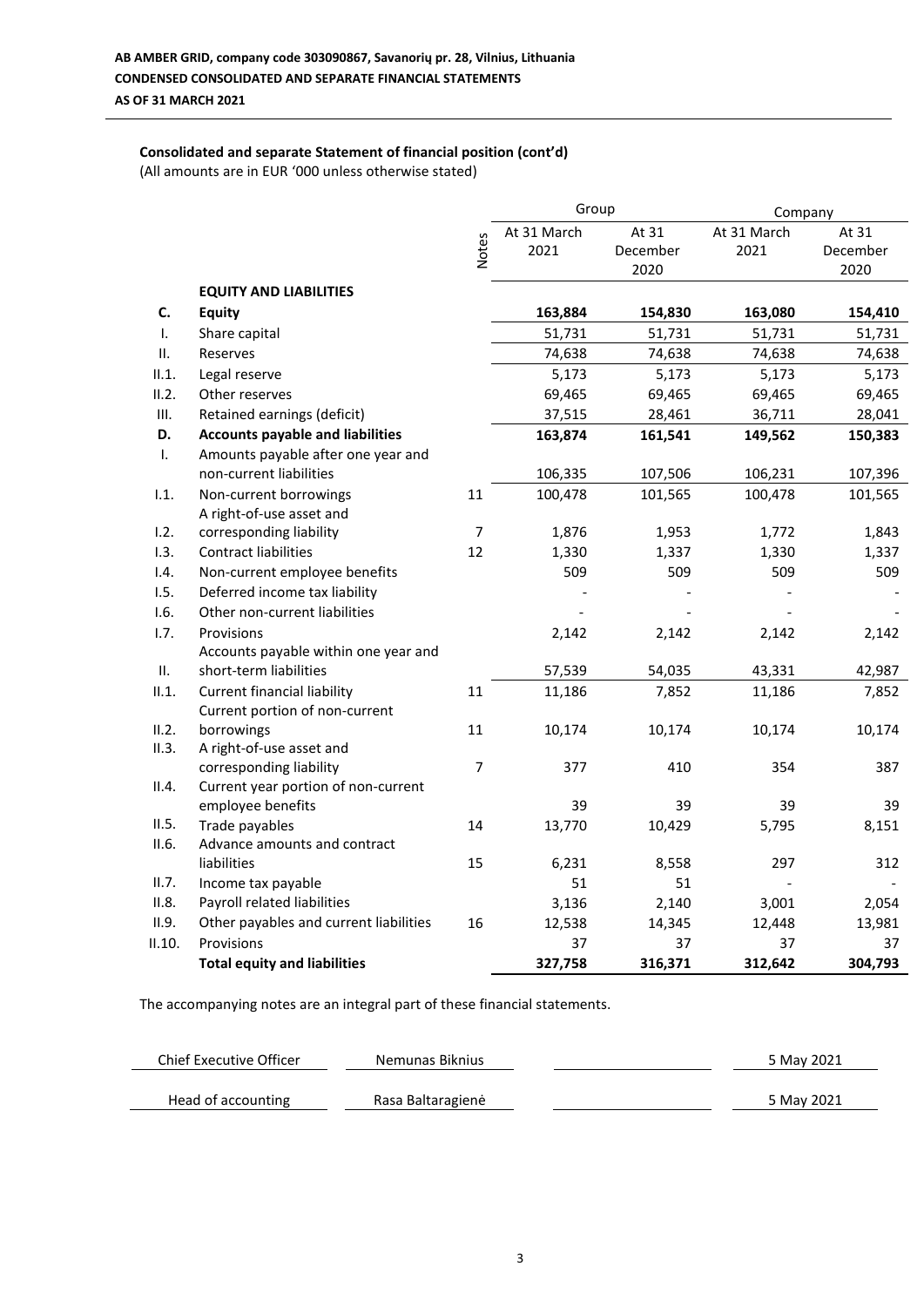# **Consolidated and separate Statement of financial position (cont'd)**

(All amounts are in EUR '000 unless otherwise stated)

|        |                                                   |                | Group       |          | Company     |          |
|--------|---------------------------------------------------|----------------|-------------|----------|-------------|----------|
|        |                                                   |                | At 31 March | At 31    | At 31 March | At 31    |
|        |                                                   | <b>Notes</b>   | 2021        | December | 2021        | December |
|        |                                                   |                |             | 2020     |             | 2020     |
|        | <b>EQUITY AND LIABILITIES</b>                     |                |             |          |             |          |
| C.     | <b>Equity</b>                                     |                | 163,884     | 154,830  | 163,080     | 154,410  |
| Τ.     | Share capital                                     |                | 51,731      | 51,731   | 51,731      | 51,731   |
| ΙΙ.    | Reserves                                          |                | 74,638      | 74,638   | 74,638      | 74,638   |
| II.1.  | Legal reserve                                     |                | 5,173       | 5,173    | 5,173       | 5,173    |
| II.2.  | Other reserves                                    |                | 69,465      | 69,465   | 69,465      | 69,465   |
| Ш.     | Retained earnings (deficit)                       |                | 37,515      | 28,461   | 36,711      | 28,041   |
| D.     | <b>Accounts payable and liabilities</b>           |                | 163,874     | 161,541  | 149,562     | 150,383  |
| T.     | Amounts payable after one year and                |                |             |          |             |          |
|        | non-current liabilities                           |                | 106,335     | 107,506  | 106,231     | 107,396  |
| 1.1.   | Non-current borrowings                            | 11             | 100,478     | 101,565  | 100,478     | 101,565  |
|        | A right-of-use asset and                          |                |             |          |             |          |
| 1.2.   | corresponding liability                           | $\overline{7}$ | 1,876       | 1,953    | 1,772       | 1,843    |
| 1.3.   | <b>Contract liabilities</b>                       | 12             | 1,330       | 1,337    | 1,330       | 1,337    |
| 1.4.   | Non-current employee benefits                     |                | 509         | 509      | 509         | 509      |
| 1.5.   | Deferred income tax liability                     |                |             |          |             |          |
| 1.6.   | Other non-current liabilities                     |                |             |          |             |          |
| 1.7.   | Provisions                                        |                | 2,142       | 2,142    | 2,142       | 2,142    |
|        | Accounts payable within one year and              |                |             |          |             |          |
| II.    | short-term liabilities                            |                | 57,539      | 54,035   | 43,331      | 42,987   |
| II.1.  | <b>Current financial liability</b>                | 11             | 11,186      | 7,852    | 11,186      | 7,852    |
|        | Current portion of non-current                    |                |             |          |             |          |
| II.2.  | borrowings                                        | 11             | 10,174      | 10,174   | 10,174      | 10,174   |
| II.3.  | A right-of-use asset and                          |                |             |          |             |          |
|        | corresponding liability                           | 7              | 377         | 410      | 354         | 387      |
| II.4.  | Current year portion of non-current               |                |             |          |             |          |
|        | employee benefits                                 |                | 39          | 39       | 39          | 39       |
| II.5.  | Trade payables                                    | 14             | 13,770      | 10,429   | 5,795       | 8,151    |
| II.6.  | Advance amounts and contract<br>liabilities       |                |             |          |             |          |
| II.7.  |                                                   | 15             | 6,231       | 8,558    | 297         | 312      |
| II.8.  | Income tax payable<br>Payroll related liabilities |                | 51          | 51       |             |          |
| II.9.  |                                                   |                | 3,136       | 2,140    | 3,001       | 2,054    |
|        | Other payables and current liabilities            | 16             | 12,538      | 14,345   | 12,448      | 13,981   |
| II.10. | Provisions                                        |                | 37          | 37       | 37          | 37       |
|        | <b>Total equity and liabilities</b>               |                | 327,758     | 316,371  | 312,642     | 304,793  |

| Chief Executive Officer | Nemunas Biknius   | 5 May 2021 |
|-------------------------|-------------------|------------|
| Head of accounting      | Rasa Baltaragienė | 5 May 2021 |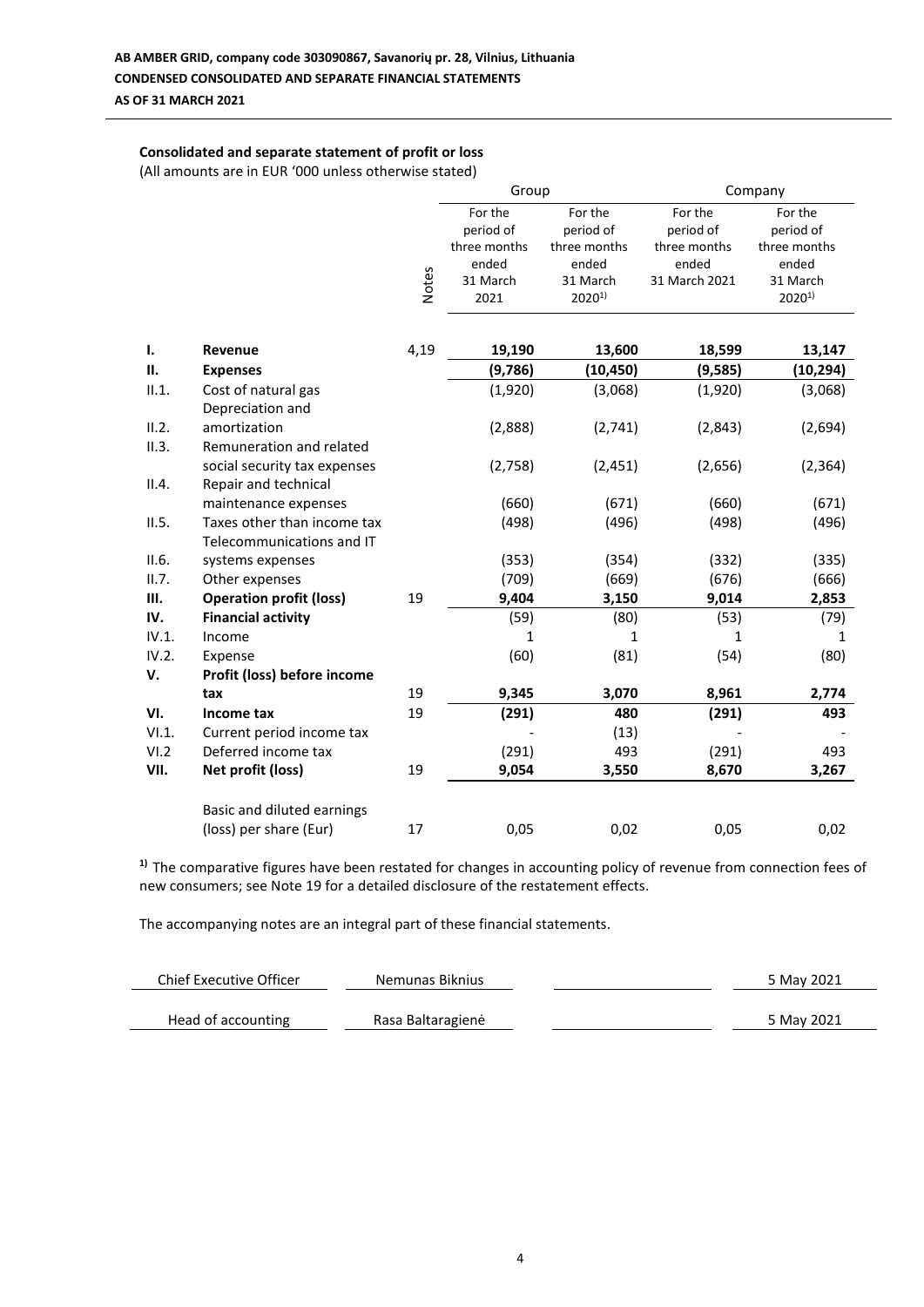## **Consolidated and separate statement of profit or loss**

(All amounts are in EUR '000 unless otherwise stated)

|                |                                                          |              | Group                                         |                                               | Company                                       |                                               |  |
|----------------|----------------------------------------------------------|--------------|-----------------------------------------------|-----------------------------------------------|-----------------------------------------------|-----------------------------------------------|--|
|                |                                                          |              | For the<br>period of<br>three months<br>ended | For the<br>period of<br>three months<br>ended | For the<br>period of<br>three months<br>ended | For the<br>period of<br>three months<br>ended |  |
|                |                                                          | <b>Notes</b> | 31 March<br>2021                              | 31 March<br>$2020^{1}$                        | 31 March 2021                                 | 31 March<br>$2020^{1}$                        |  |
| Ι.             | Revenue                                                  | 4,19         | 19,190                                        | 13,600                                        | 18,599                                        | 13,147                                        |  |
| П.             | <b>Expenses</b>                                          |              | (9,786)                                       | (10, 450)                                     | (9,585)                                       | (10, 294)                                     |  |
| II.1.          | Cost of natural gas<br>Depreciation and                  |              | (1,920)                                       | (3,068)                                       | (1,920)                                       | (3,068)                                       |  |
| II.2.<br>II.3. | amortization<br>Remuneration and related                 |              | (2,888)                                       | (2,741)                                       | (2,843)                                       | (2,694)                                       |  |
| II.4.          | social security tax expenses<br>Repair and technical     |              | (2,758)                                       | (2, 451)                                      | (2,656)                                       | (2, 364)                                      |  |
|                | maintenance expenses                                     |              | (660)                                         | (671)                                         | (660)                                         | (671)                                         |  |
| II.5.          | Taxes other than income tax<br>Telecommunications and IT |              | (498)                                         | (496)                                         | (498)                                         | (496)                                         |  |
| II.6.          | systems expenses                                         |              | (353)                                         | (354)                                         | (332)                                         | (335)                                         |  |
| II.7.          | Other expenses                                           |              | (709)                                         | (669)                                         | (676)                                         | (666)                                         |  |
| III.           | <b>Operation profit (loss)</b>                           | 19           | 9,404                                         | 3,150                                         | 9,014                                         | 2,853                                         |  |
| IV.            | <b>Financial activity</b>                                |              | (59)                                          | (80)                                          | (53)                                          | (79)                                          |  |
| IV.1.          | Income                                                   |              | 1                                             | 1                                             | 1                                             | 1                                             |  |
| IV.2.          | Expense                                                  |              | (60)                                          | (81)                                          | (54)                                          | (80)                                          |  |
| V.             | Profit (loss) before income                              |              |                                               |                                               |                                               |                                               |  |
|                | tax                                                      | 19           | 9,345                                         | 3,070                                         | 8,961                                         | 2,774                                         |  |
| VI.            | Income tax                                               | 19           | (291)                                         | 480                                           | (291)                                         | 493                                           |  |
| VI.1.          | Current period income tax                                |              |                                               | (13)                                          |                                               |                                               |  |
| VI.2           | Deferred income tax                                      |              | (291)                                         | 493                                           | (291)                                         | 493                                           |  |
| VII.           | Net profit (loss)                                        | 19           | 9,054                                         | 3,550                                         | 8,670                                         | 3,267                                         |  |
|                | Basic and diluted earnings                               |              |                                               |                                               |                                               |                                               |  |
|                | (loss) per share (Eur)                                   | 17           | 0,05                                          | 0,02                                          | 0,05                                          | 0,02                                          |  |

**1)** The comparative figures have been restated for changes in accounting policy of revenue from connection fees of new consumers; see Note 19 for a detailed disclosure of the restatement effects.

| Chief Executive Officer | Nemunas Biknius   | 5 May 2021 |
|-------------------------|-------------------|------------|
| Head of accounting      | Rasa Baltaragienė | 5 May 2021 |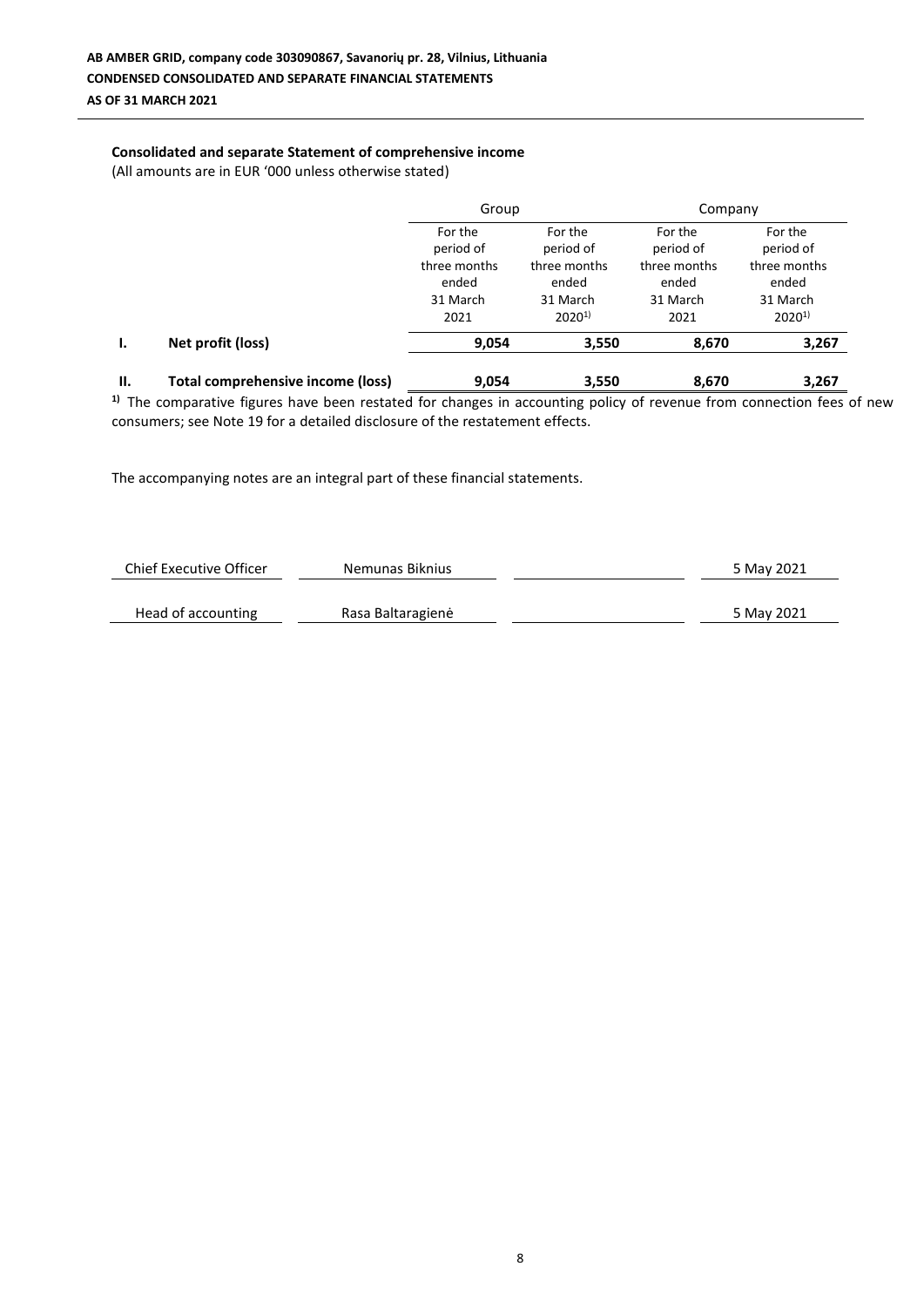## **Consolidated and separate Statement of comprehensive income**

(All amounts are in EUR '000 unless otherwise stated)

|    |                                          | Group                                                             |                                                                         | Company                                                           |                                                                         |  |
|----|------------------------------------------|-------------------------------------------------------------------|-------------------------------------------------------------------------|-------------------------------------------------------------------|-------------------------------------------------------------------------|--|
|    |                                          | For the<br>period of<br>three months<br>ended<br>31 March<br>2021 | For the<br>period of<br>three months<br>ended<br>31 March<br>$2020^{1}$ | For the<br>period of<br>three months<br>ended<br>31 March<br>2021 | For the<br>period of<br>three months<br>ended<br>31 March<br>$2020^{1}$ |  |
| ι. | Net profit (loss)                        | 9,054                                                             | 3,550                                                                   | 8,670                                                             | 3,267                                                                   |  |
| П. | <b>Total comprehensive income (loss)</b> | 9,054                                                             | 3,550                                                                   | 8,670                                                             | 3,267                                                                   |  |

<sup>1)</sup> The comparative figures have been restated for changes in accounting policy of revenue from connection fees of new consumers; see Note 19 for a detailed disclosure of the restatement effects.

| Chief Executive Officer | Nemunas Biknius   | 5 May 2021 |
|-------------------------|-------------------|------------|
|                         |                   |            |
| Head of accounting      | Rasa Baltaragienė | 5 May 2021 |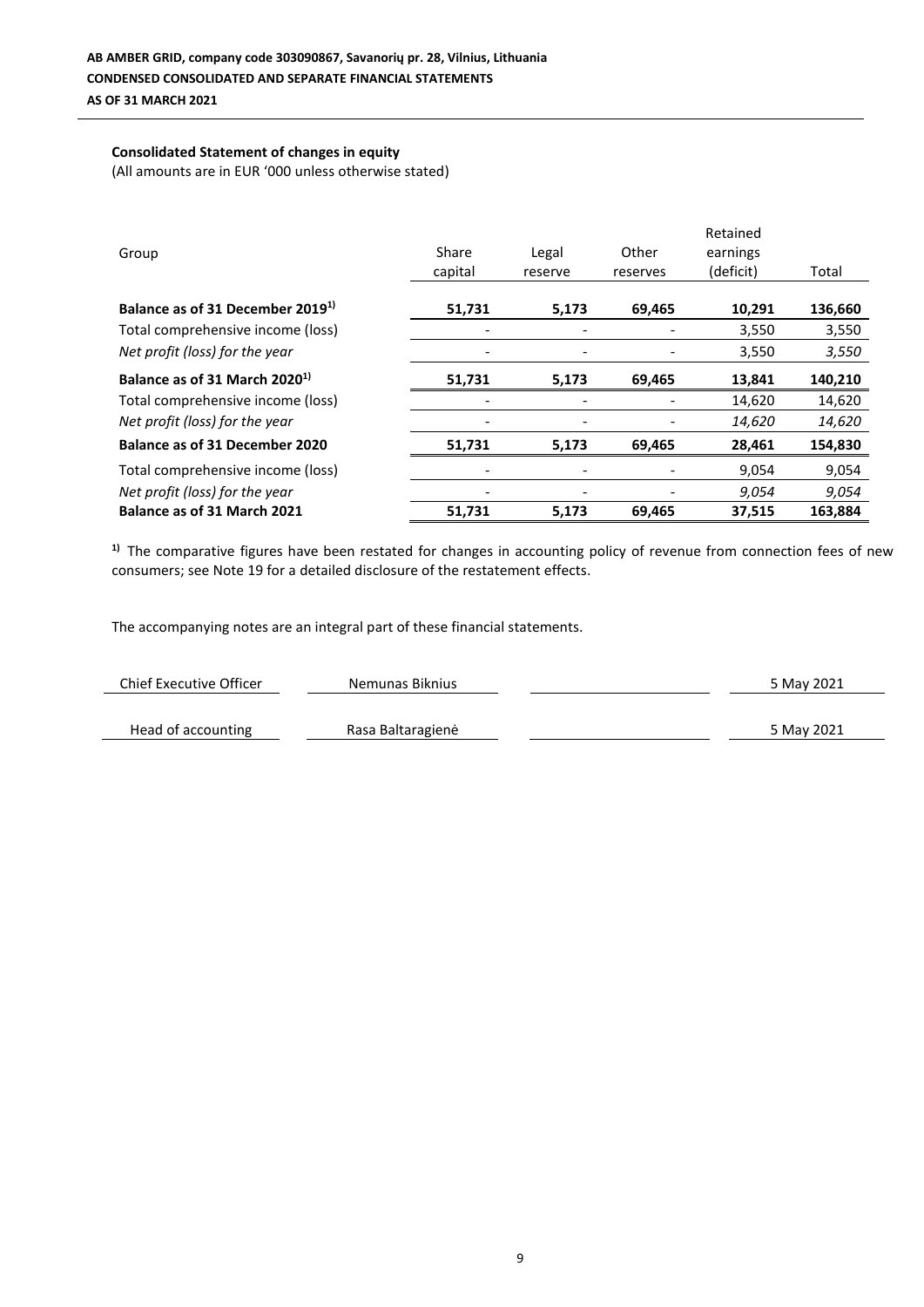## **Consolidated Statement of changes in equity**

(All amounts are in EUR '000 unless otherwise stated)

| Group                                        | Share<br>capital         | Legal<br>reserve         | Other<br>reserves | Retained<br>earnings<br>(deficit) | Total   |
|----------------------------------------------|--------------------------|--------------------------|-------------------|-----------------------------------|---------|
| Balance as of 31 December 2019 <sup>1)</sup> | 51,731                   | 5,173                    | 69,465            | 10,291                            | 136,660 |
| Total comprehensive income (loss)            | $\overline{\phantom{0}}$ | $\overline{\phantom{a}}$ |                   | 3,550                             | 3,550   |
| Net profit (loss) for the year               |                          |                          |                   | 3,550                             | 3,550   |
| Balance as of 31 March 2020 <sup>1)</sup>    | 51,731                   | 5,173                    | 69,465            | 13,841                            | 140,210 |
| Total comprehensive income (loss)            | ۰                        |                          |                   | 14,620                            | 14,620  |
| Net profit (loss) for the year               |                          |                          |                   | 14,620                            | 14,620  |
| Balance as of 31 December 2020               | 51,731                   | 5,173                    | 69,465            | 28,461                            | 154,830 |
| Total comprehensive income (loss)            |                          |                          |                   | 9,054                             | 9,054   |
| Net profit (loss) for the year               |                          |                          |                   | 9,054                             | 9,054   |
| Balance as of 31 March 2021                  | 51,731                   | 5,173                    | 69,465            | 37,515                            | 163,884 |

<sup>1)</sup> The comparative figures have been restated for changes in accounting policy of revenue from connection fees of new consumers; see Note 19 for a detailed disclosure of the restatement effects.

| <b>Chief Executive Officer</b> | Nemunas Biknius   | 5 May 2021 |
|--------------------------------|-------------------|------------|
|                                |                   |            |
| Head of accounting             | Rasa Baltaragienė | 5 May 2021 |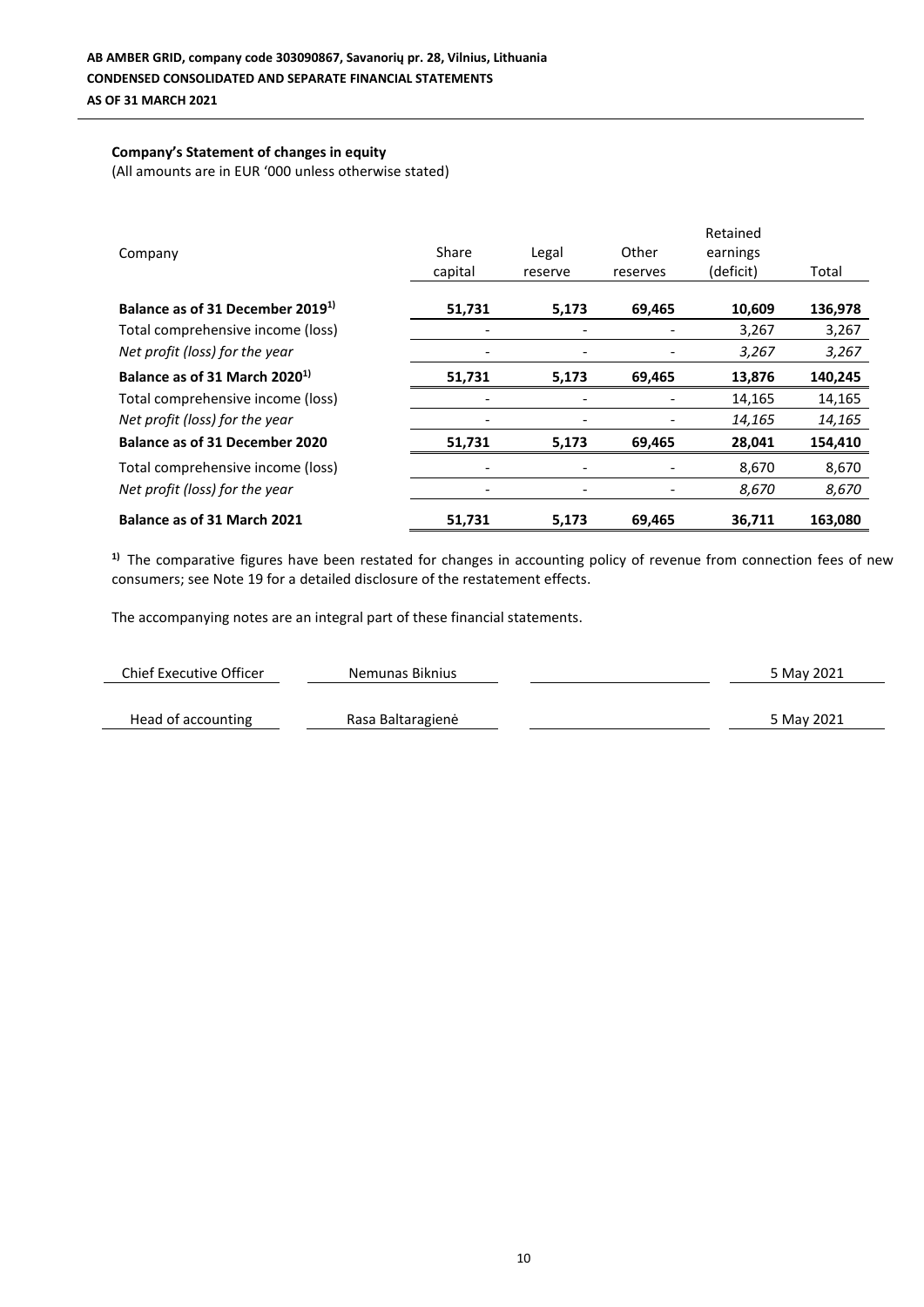## **Company's Statement of changes in equity**

(All amounts are in EUR '000 unless otherwise stated)

| Company                                      | Share<br>capital         | Legal<br>reserve | Other<br>reserves | Retained<br>earnings<br>(deficit) | Total   |
|----------------------------------------------|--------------------------|------------------|-------------------|-----------------------------------|---------|
| Balance as of 31 December 2019 <sup>1)</sup> | 51,731                   | 5,173            | 69,465            | 10,609                            | 136,978 |
| Total comprehensive income (loss)            |                          |                  |                   | 3,267                             | 3,267   |
| Net profit (loss) for the year               |                          |                  |                   | 3,267                             | 3,267   |
| Balance as of 31 March 2020 <sup>1)</sup>    | 51,731                   | 5,173            | 69,465            | 13,876                            | 140,245 |
| Total comprehensive income (loss)            | $\overline{\phantom{0}}$ |                  |                   | 14,165                            | 14,165  |
| Net profit (loss) for the year               |                          |                  |                   | 14,165                            | 14,165  |
| Balance as of 31 December 2020               | 51,731                   | 5,173            | 69,465            | 28,041                            | 154,410 |
| Total comprehensive income (loss)            | $\overline{\phantom{a}}$ |                  |                   | 8,670                             | 8,670   |
| Net profit (loss) for the year               |                          |                  |                   | 8,670                             | 8,670   |
| Balance as of 31 March 2021                  | 51,731                   | 5,173            | 69,465            | 36,711                            | 163,080 |

<sup>1)</sup> The comparative figures have been restated for changes in accounting policy of revenue from connection fees of new consumers; see Note 19 for a detailed disclosure of the restatement effects.

| Chief Executive Officer | Nemunas Biknius   | 5 May 2021 |
|-------------------------|-------------------|------------|
| Head of accounting      | Rasa Baltaragienė | 5 May 2021 |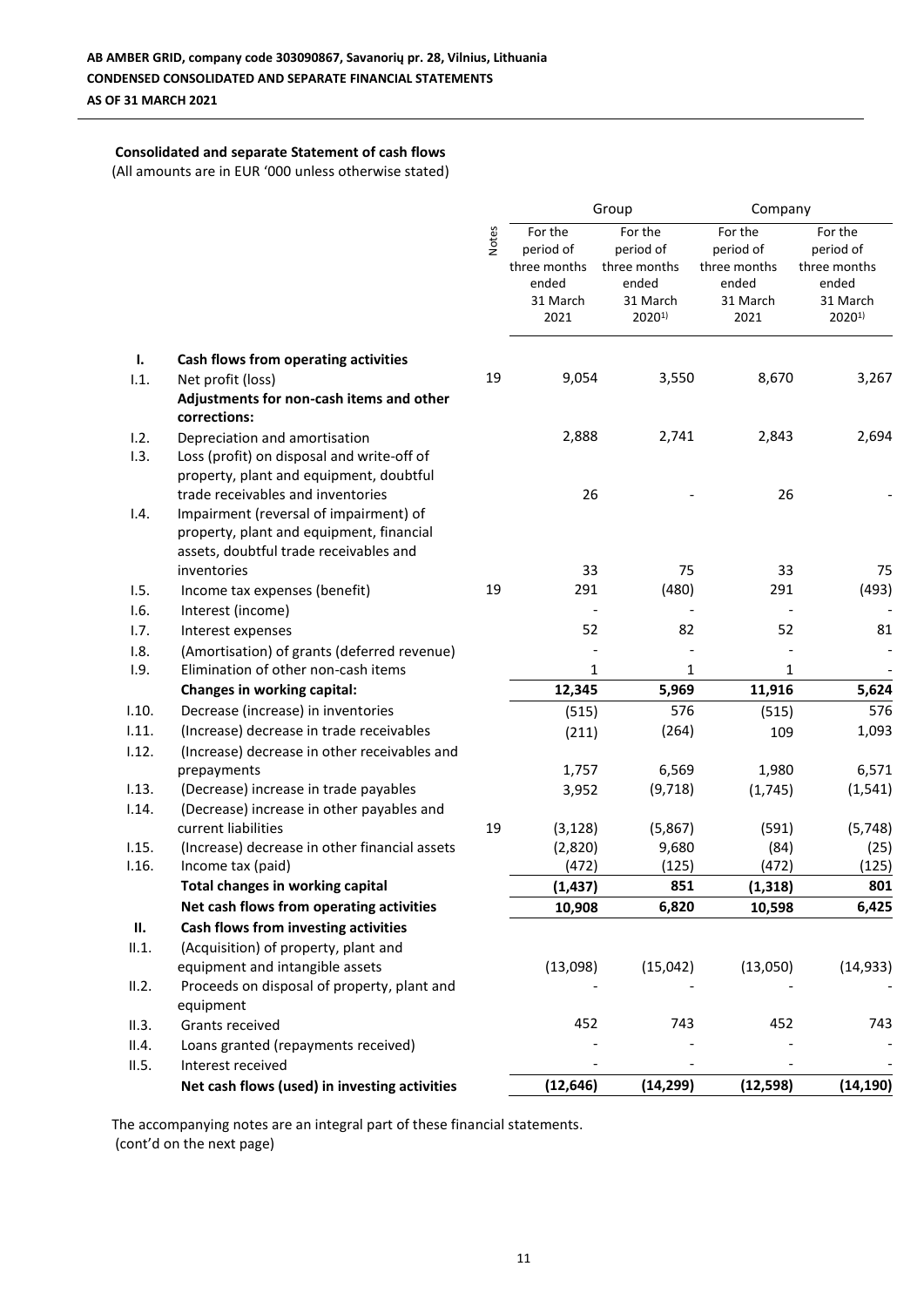## **Consolidated and separate Statement of cash flows**

(All amounts are in EUR '000 unless otherwise stated)

|       |                                                                                                                                                                   |              |                                                                   | Group                                                                   | Company                                                           |                                                                         |
|-------|-------------------------------------------------------------------------------------------------------------------------------------------------------------------|--------------|-------------------------------------------------------------------|-------------------------------------------------------------------------|-------------------------------------------------------------------|-------------------------------------------------------------------------|
|       |                                                                                                                                                                   | <b>Notes</b> | For the<br>period of<br>three months<br>ended<br>31 March<br>2021 | For the<br>period of<br>three months<br>ended<br>31 March<br>$2020^{1}$ | For the<br>period of<br>three months<br>ended<br>31 March<br>2021 | For the<br>period of<br>three months<br>ended<br>31 March<br>$2020^{1}$ |
| Ι.    | Cash flows from operating activities                                                                                                                              |              |                                                                   |                                                                         |                                                                   |                                                                         |
| 1.1.  | Net profit (loss)<br>Adjustments for non-cash items and other<br>corrections:                                                                                     | 19           | 9,054                                                             | 3,550                                                                   | 8,670                                                             | 3,267                                                                   |
| 1.2.  | Depreciation and amortisation                                                                                                                                     |              | 2,888                                                             | 2,741                                                                   | 2,843                                                             | 2,694                                                                   |
| 1.3.  | Loss (profit) on disposal and write-off of<br>property, plant and equipment, doubtful                                                                             |              |                                                                   |                                                                         |                                                                   |                                                                         |
| 1.4.  | trade receivables and inventories<br>Impairment (reversal of impairment) of<br>property, plant and equipment, financial<br>assets, doubtful trade receivables and |              | 26                                                                |                                                                         | 26                                                                |                                                                         |
|       | inventories                                                                                                                                                       |              | 33                                                                | 75                                                                      | 33                                                                | 75                                                                      |
| 1.5.  | Income tax expenses (benefit)                                                                                                                                     | 19           | 291                                                               | (480)                                                                   | 291                                                               | (493)                                                                   |
| 1.6.  | Interest (income)                                                                                                                                                 |              |                                                                   |                                                                         |                                                                   |                                                                         |
| 1.7.  | Interest expenses                                                                                                                                                 |              | 52                                                                | 82                                                                      | 52                                                                | 81                                                                      |
| 1.8.  | (Amortisation) of grants (deferred revenue)                                                                                                                       |              |                                                                   |                                                                         |                                                                   |                                                                         |
| 1.9.  | Elimination of other non-cash items                                                                                                                               |              | $\mathbf{1}$                                                      | 1                                                                       | $\mathbf{1}$                                                      |                                                                         |
|       | Changes in working capital:                                                                                                                                       |              | 12,345                                                            | 5,969                                                                   | 11,916                                                            | 5,624                                                                   |
| 1.10. | Decrease (increase) in inventories                                                                                                                                |              | (515)                                                             | 576                                                                     | (515)                                                             | 576                                                                     |
| 1.11. | (Increase) decrease in trade receivables                                                                                                                          |              | (211)                                                             | (264)                                                                   | 109                                                               | 1,093                                                                   |
| 1.12. | (Increase) decrease in other receivables and                                                                                                                      |              |                                                                   |                                                                         |                                                                   |                                                                         |
|       | prepayments                                                                                                                                                       |              | 1,757                                                             | 6,569                                                                   | 1,980                                                             | 6,571                                                                   |
| 1.13. | (Decrease) increase in trade payables                                                                                                                             |              | 3,952                                                             | (9,718)                                                                 | (1,745)                                                           | (1, 541)                                                                |
| 1.14. | (Decrease) increase in other payables and                                                                                                                         |              |                                                                   |                                                                         |                                                                   |                                                                         |
|       | current liabilities                                                                                                                                               | 19           | (3, 128)                                                          | (5,867)                                                                 | (591)                                                             | (5, 748)                                                                |
| 1.15. | (Increase) decrease in other financial assets                                                                                                                     |              | (2,820)                                                           | 9,680                                                                   | (84)                                                              | (25)                                                                    |
| 1.16. | Income tax (paid)<br><b>Total changes in working capital</b>                                                                                                      |              | (472)                                                             | (125)<br>851                                                            | (472)                                                             | (125)<br>801                                                            |
|       | Net cash flows from operating activities                                                                                                                          |              | (1, 437)                                                          | 6,820                                                                   | (1, 318)                                                          | 6,425                                                                   |
| П.    | Cash flows from investing activities                                                                                                                              |              | 10,908                                                            |                                                                         | 10,598                                                            |                                                                         |
| II.1. | (Acquisition) of property, plant and                                                                                                                              |              |                                                                   |                                                                         |                                                                   |                                                                         |
|       | equipment and intangible assets                                                                                                                                   |              | (13,098)                                                          | (15,042)                                                                | (13,050)                                                          | (14, 933)                                                               |
| II.2. | Proceeds on disposal of property, plant and                                                                                                                       |              |                                                                   |                                                                         |                                                                   |                                                                         |
|       | equipment                                                                                                                                                         |              |                                                                   |                                                                         |                                                                   |                                                                         |
| II.3. | Grants received                                                                                                                                                   |              | 452                                                               | 743                                                                     | 452                                                               | 743                                                                     |
| II.4. | Loans granted (repayments received)                                                                                                                               |              |                                                                   |                                                                         |                                                                   |                                                                         |
| II.5. | Interest received                                                                                                                                                 |              |                                                                   |                                                                         |                                                                   |                                                                         |
|       | Net cash flows (used) in investing activities                                                                                                                     |              | (12, 646)                                                         | (14, 299)                                                               | (12, 598)                                                         | (14, 190)                                                               |

The accompanying notes are an integral part of these financial statements. (cont'd on the next page)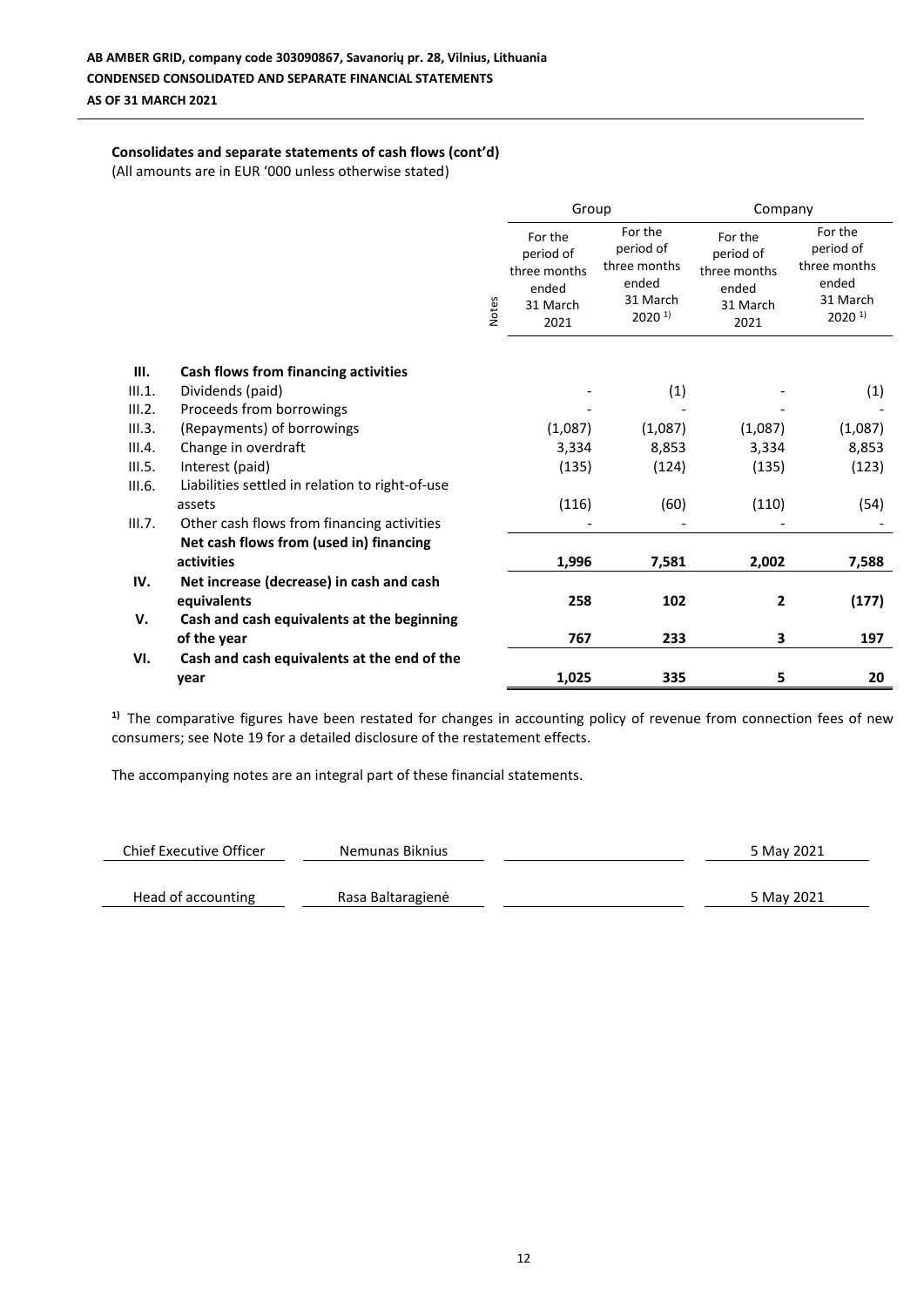## **Consolidates and separate statements of cash flows (cont'd)**

(All amounts are in EUR '000 unless otherwise stated)

|        |                                                 |       |                                                                   | Group                                                                          |                                                                   | Company                                                                           |
|--------|-------------------------------------------------|-------|-------------------------------------------------------------------|--------------------------------------------------------------------------------|-------------------------------------------------------------------|-----------------------------------------------------------------------------------|
|        |                                                 | Notes | For the<br>period of<br>three months<br>ended<br>31 March<br>2021 | For the<br>period of<br>three months<br>ended<br>31 March<br>2020 <sup>1</sup> | For the<br>period of<br>three months<br>ended<br>31 March<br>2021 | For the<br>period of<br>three months<br>ended<br>31 March<br>$2020$ <sup>1)</sup> |
|        |                                                 |       |                                                                   |                                                                                |                                                                   |                                                                                   |
| Ш.     | Cash flows from financing activities            |       |                                                                   |                                                                                |                                                                   |                                                                                   |
| III.1. | Dividends (paid)                                |       |                                                                   | (1)                                                                            |                                                                   | (1)                                                                               |
| III.2. | Proceeds from borrowings                        |       |                                                                   |                                                                                |                                                                   |                                                                                   |
| III.3. | (Repayments) of borrowings                      |       | (1,087)                                                           | (1,087)                                                                        | (1,087)                                                           | (1,087)                                                                           |
| III.4. | Change in overdraft                             |       | 3,334                                                             | 8,853                                                                          | 3,334                                                             | 8,853                                                                             |
| III.5. | Interest (paid)                                 |       | (135)                                                             | (124)                                                                          | (135)                                                             | (123)                                                                             |
| III.6. | Liabilities settled in relation to right-of-use |       |                                                                   |                                                                                |                                                                   |                                                                                   |
|        | assets                                          |       | (116)                                                             | (60)                                                                           | (110)                                                             | (54)                                                                              |
| III.7. | Other cash flows from financing activities      |       |                                                                   |                                                                                |                                                                   |                                                                                   |
|        | Net cash flows from (used in) financing         |       |                                                                   |                                                                                |                                                                   |                                                                                   |
|        | activities                                      |       | 1,996                                                             | 7,581                                                                          | 2,002                                                             | 7,588                                                                             |
| IV.    | Net increase (decrease) in cash and cash        |       |                                                                   |                                                                                |                                                                   |                                                                                   |
|        | equivalents                                     |       | 258                                                               | 102                                                                            | $\overline{2}$                                                    | (177)                                                                             |
| V.     | Cash and cash equivalents at the beginning      |       |                                                                   |                                                                                |                                                                   |                                                                                   |
|        | of the year                                     |       | 767                                                               | 233                                                                            | 3                                                                 | 197                                                                               |
| VI.    | Cash and cash equivalents at the end of the     |       |                                                                   |                                                                                |                                                                   |                                                                                   |
|        | year                                            |       | 1,025                                                             | 335                                                                            | 5                                                                 | 20                                                                                |

<sup>1)</sup> The comparative figures have been restated for changes in accounting policy of revenue from connection fees of new consumers; see Note 19 for a detailed disclosure of the restatement effects.

| Chief Executive Officer | Nemunas Biknius   | 5 May 2021 |
|-------------------------|-------------------|------------|
|                         |                   |            |
| Head of accounting      | Rasa Baltaragienė | 5 May 2021 |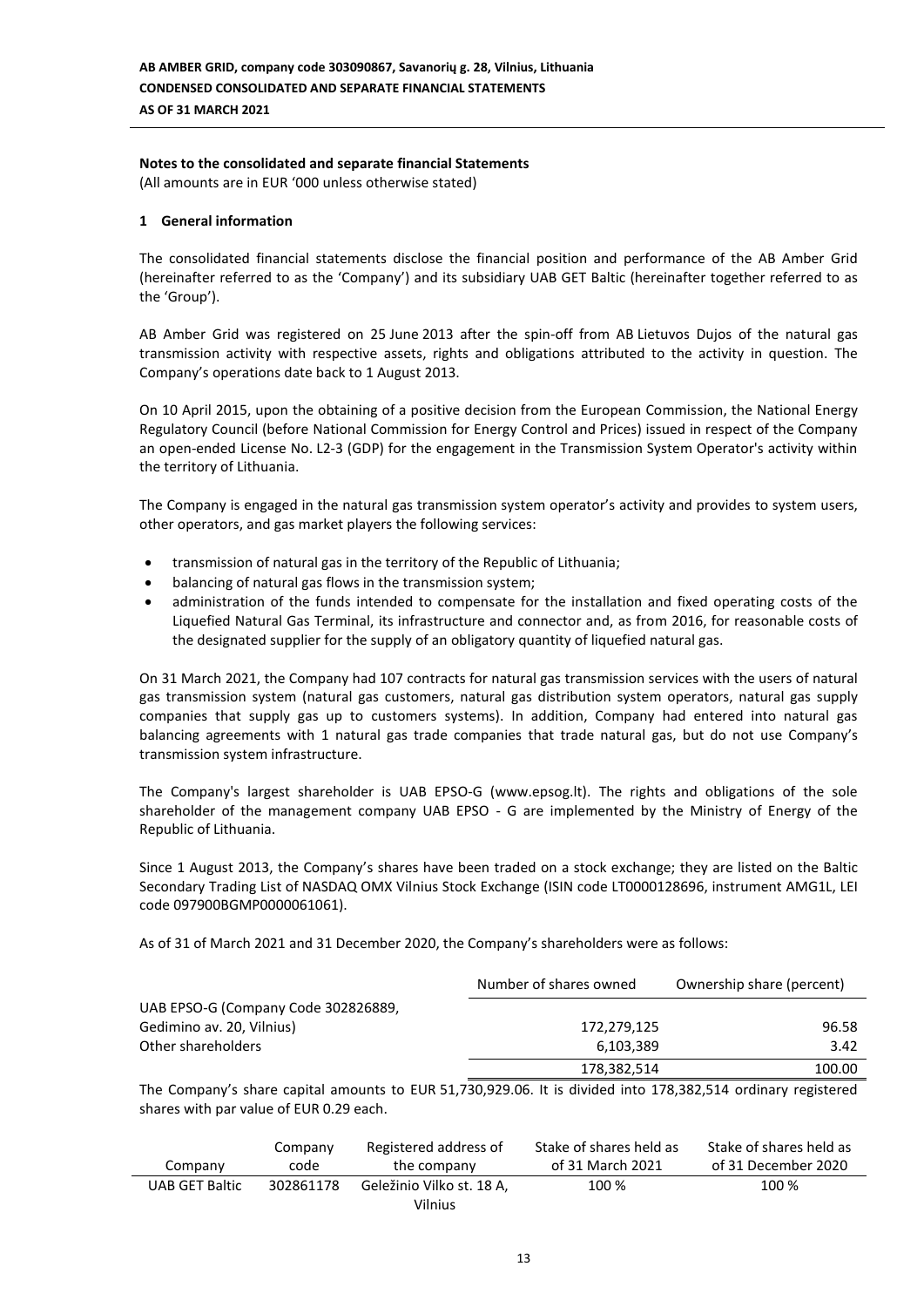## **Notes to the consolidated and separate financial Statements**

(All amounts are in EUR '000 unless otherwise stated)

#### **1 General information**

The consolidated financial statements disclose the financial position and performance of the AB Amber Grid (hereinafter referred to as the 'Company') and its subsidiary UAB GET Baltic (hereinafter together referred to as the 'Group').

AB Amber Grid was registered on 25 June 2013 after the spin-off from AB Lietuvos Dujos of the natural gas transmission activity with respective assets, rights and obligations attributed to the activity in question. The Company's operations date back to 1 August 2013.

On 10 April 2015, upon the obtaining of a positive decision from the European Commission, the National Energy Regulatory Council (before National Commission for Energy Control and Prices) issued in respect of the Company an open-ended License No. L2-3 (GDP) for the engagement in the Transmission System Operator's activity within the territory of Lithuania.

The Company is engaged in the natural gas transmission system operator's activity and provides to system users, other operators, and gas market players the following services:

- transmission of natural gas in the territory of the Republic of Lithuania;
- balancing of natural gas flows in the transmission system;
- administration of the funds intended to compensate for the installation and fixed operating costs of the Liquefied Natural Gas Terminal, its infrastructure and connector and, as from 2016, for reasonable costs of the designated supplier for the supply of an obligatory quantity of liquefied natural gas.

On 31 March 2021, the Company had 107 contracts for natural gas transmission services with the users of natural gas transmission system (natural gas customers, natural gas distribution system operators, natural gas supply companies that supply gas up to customers systems). In addition, Company had entered into natural gas balancing agreements with 1 natural gas trade companies that trade natural gas, but do not use Company's transmission system infrastructure.

The Company's largest shareholder is UAB EPSO-G (www.epsog.lt). The rights and obligations of the sole shareholder of the management company UAB EPSO - G are implemented by the Ministry of Energy of the Republic of Lithuania.

Since 1 August 2013, the Company's shares have been traded on a stock exchange; they are listed on the Baltic Secondary Trading List of NASDAQ OMX Vilnius Stock Exchange (ISIN code LT0000128696, instrument AMG1L, LEI code 097900BGMP0000061061).

As of 31 of March 2021 and 31 December 2020, the Company's shareholders were as follows:

|                                     | Number of shares owned | Ownership share (percent) |
|-------------------------------------|------------------------|---------------------------|
| UAB EPSO-G (Company Code 302826889, |                        |                           |
| Gedimino av. 20, Vilnius)           | 172,279,125            | 96.58                     |
| Other shareholders                  | 6,103,389              | 3.42                      |
|                                     | 178,382,514            | 100.00                    |
|                                     | .                      |                           |

The Company's share capital amounts to EUR 51,730,929.06. It is divided into 178,382,514 ordinary registered shares with par value of EUR 0.29 each.

|                       | Company   | Registered address of     | Stake of shares held as | Stake of shares held as |
|-----------------------|-----------|---------------------------|-------------------------|-------------------------|
| Company               | code      | the company               | of 31 March 2021        | of 31 December 2020     |
| <b>UAB GET Baltic</b> | 302861178 | Geležinio Vilko st. 18 A. | 100 %                   | 100 %                   |
|                       |           | Vilnius                   |                         |                         |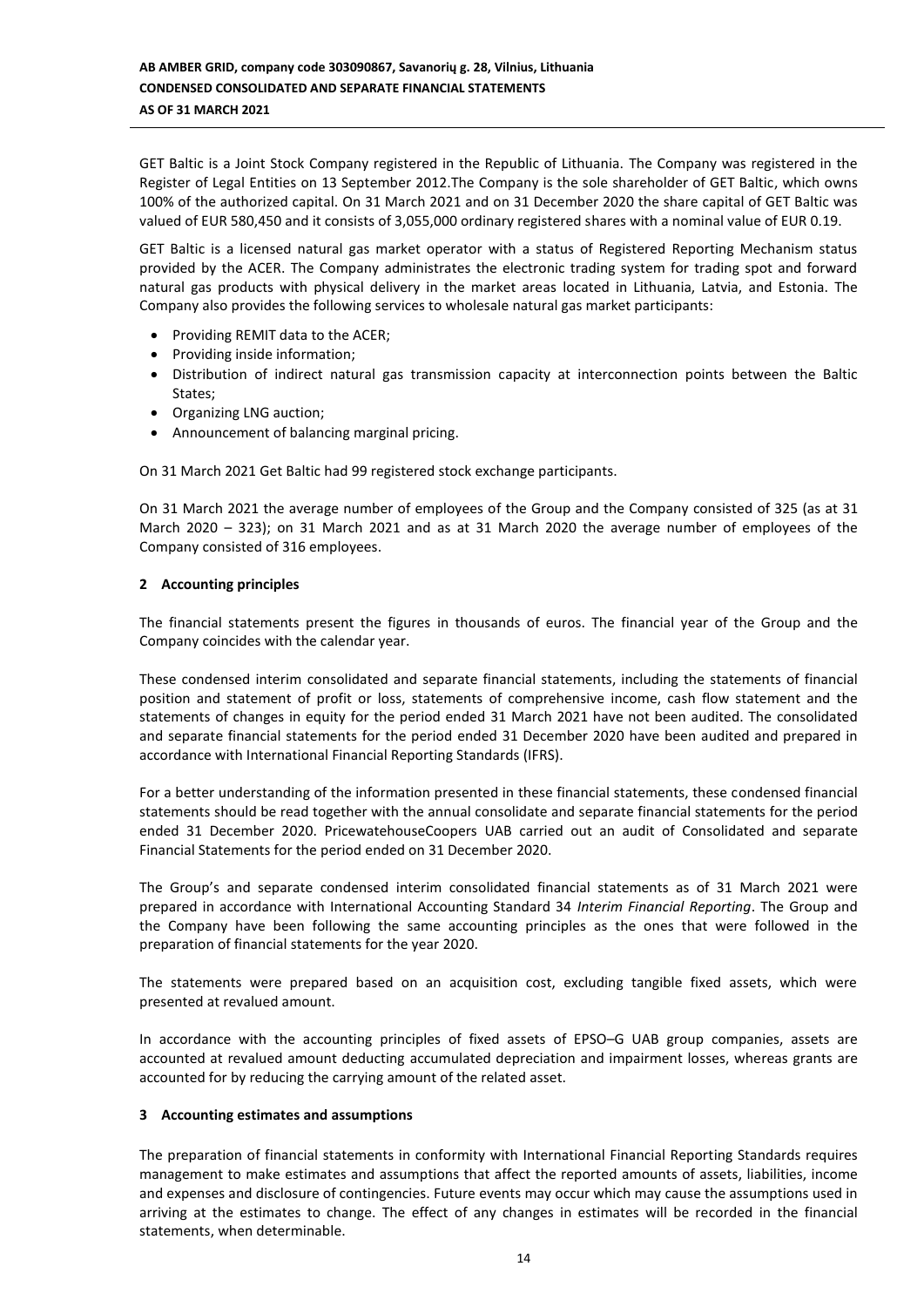GET Baltic is a Joint Stock Company registered in the Republic of Lithuania. The Company was registered in the Register of Legal Entities on 13 September 2012.The Company is the sole shareholder of GET Baltic, which owns 100% of the authorized capital. On 31 March 2021 and on 31 December 2020 the share capital of GET Baltic was valued of EUR 580,450 and it consists of 3,055,000 ordinary registered shares with a nominal value of EUR 0.19.

GET Baltic is a licensed natural gas market operator with a status of Registered Reporting Mechanism status provided by the ACER. The Company administrates the electronic trading system for trading spot and forward natural gas products with physical delivery in the market areas located in Lithuania, Latvia, and Estonia. The Company also provides the following services to wholesale natural gas market participants:

- Providing REMIT data to the ACER;
- Providing inside information;
- Distribution of indirect natural gas transmission capacity at interconnection points between the Baltic States;
- Organizing LNG auction;
- Announcement of balancing marginal pricing.

On 31 March 2021 Get Baltic had 99 registered stock exchange participants.

On 31 March 2021 the average number of employees of the Group and the Company consisted of 325 (as at 31 March 2020 – 323); on 31 March 2021 and as at 31 March 2020 the average number of employees of the Company consisted of 316 employees.

## **2 Accounting principles**

The financial statements present the figures in thousands of euros. The financial year of the Group and the Company coincides with the calendar year.

These condensed interim consolidated and separate financial statements, including the statements of financial position and statement of profit or loss, statements of comprehensive income, cash flow statement and the statements of changes in equity for the period ended 31 March 2021 have not been audited. The consolidated and separate financial statements for the period ended 31 December 2020 have been audited and prepared in accordance with International Financial Reporting Standards (IFRS).

For a better understanding of the information presented in these financial statements, these condensed financial statements should be read together with the annual consolidate and separate financial statements for the period ended 31 December 2020. PricewatehouseCoopers UAB carried out an audit of Consolidated and separate Financial Statements for the period ended on 31 December 2020.

The Group's and separate condensed interim consolidated financial statements as of 31 March 2021 were prepared in accordance with International Accounting Standard 34 *Interim Financial Reporting*. The Group and the Company have been following the same accounting principles as the ones that were followed in the preparation of financial statements for the year 2020.

The statements were prepared based on an acquisition cost, excluding tangible fixed assets, which were presented at revalued amount.

In accordance with the accounting principles of fixed assets of EPSO–G UAB group companies, assets are accounted at revalued amount deducting accumulated depreciation and impairment losses, whereas grants are accounted for by reducing the carrying amount of the related asset.

## **3 Accounting estimates and assumptions**

The preparation of financial statements in conformity with International Financial Reporting Standards requires management to make estimates and assumptions that affect the reported amounts of assets, liabilities, income and expenses and disclosure of contingencies. Future events may occur which may cause the assumptions used in arriving at the estimates to change. The effect of any changes in estimates will be recorded in the financial statements, when determinable.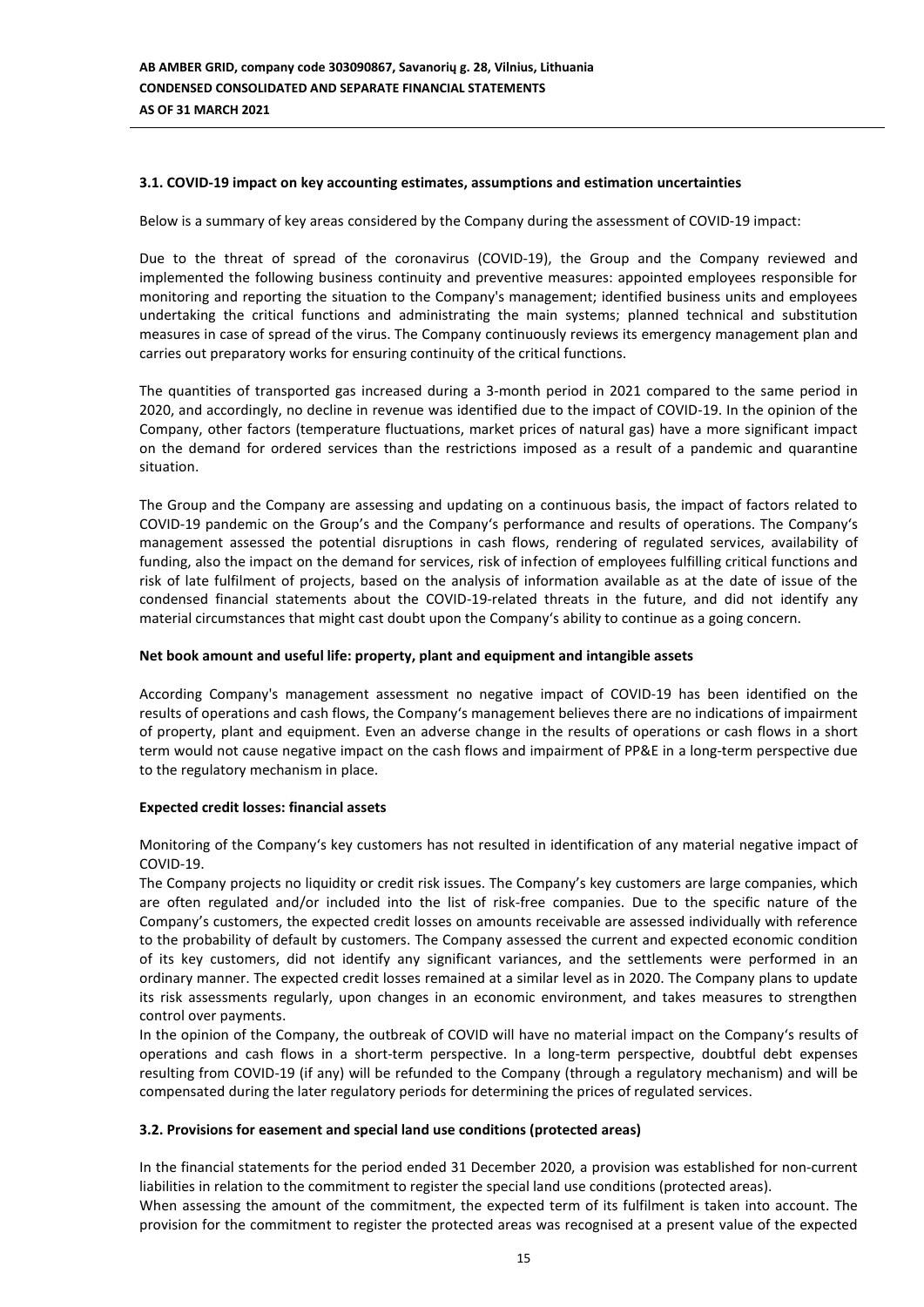## **3.1. COVID-19 impact on key accounting estimates, assumptions and estimation uncertainties**

Below is a summary of key areas considered by the Company during the assessment of COVID-19 impact:

Due to the threat of spread of the coronavirus (COVID-19), the Group and the Company reviewed and implemented the following business continuity and preventive measures: appointed employees responsible for monitoring and reporting the situation to the Company's management; identified business units and employees undertaking the critical functions and administrating the main systems; planned technical and substitution measures in case of spread of the virus. The Company continuously reviews its emergency management plan and carries out preparatory works for ensuring continuity of the critical functions.

The quantities of transported gas increased during a 3-month period in 2021 compared to the same period in 2020, and accordingly, no decline in revenue was identified due to the impact of COVID-19. In the opinion of the Company, other factors (temperature fluctuations, market prices of natural gas) have a more significant impact on the demand for ordered services than the restrictions imposed as a result of a pandemic and quarantine situation.

The Group and the Company are assessing and updating on a continuous basis, the impact of factors related to COVID-19 pandemic on the Group's and the Company's performance and results of operations. The Company's management assessed the potential disruptions in cash flows, rendering of regulated services, availability of funding, also the impact on the demand for services, risk of infection of employees fulfilling critical functions and risk of late fulfilment of projects, based on the analysis of information available as at the date of issue of the condensed financial statements about the COVID-19-related threats in the future, and did not identify any material circumstances that might cast doubt upon the Company's ability to continue as a going concern.

#### **Net book amount and useful life: property, plant and equipment and intangible assets**

According Company's management assessment no negative impact of COVID-19 has been identified on the results of operations and cash flows, the Company's management believes there are no indications of impairment of property, plant and equipment. Even an adverse change in the results of operations or cash flows in a short term would not cause negative impact on the cash flows and impairment of PP&E in a long-term perspective due to the regulatory mechanism in place.

#### **Expected credit losses: financial assets**

Monitoring of the Company's key customers has not resulted in identification of any material negative impact of COVID-19.

The Company projects no liquidity or credit risk issues. The Company's key customers are large companies, which are often regulated and/or included into the list of risk-free companies. Due to the specific nature of the Company's customers, the expected credit losses on amounts receivable are assessed individually with reference to the probability of default by customers. The Company assessed the current and expected economic condition of its key customers, did not identify any significant variances, and the settlements were performed in an ordinary manner. The expected credit losses remained at a similar level as in 2020. The Company plans to update its risk assessments regularly, upon changes in an economic environment, and takes measures to strengthen control over payments.

In the opinion of the Company, the outbreak of COVID will have no material impact on the Company's results of operations and cash flows in a short-term perspective. In a long-term perspective, doubtful debt expenses resulting from COVID-19 (if any) will be refunded to the Company (through a regulatory mechanism) and will be compensated during the later regulatory periods for determining the prices of regulated services.

#### **3.2. Provisions for easement and special land use conditions (protected areas)**

In the financial statements for the period ended 31 December 2020, a provision was established for non-current liabilities in relation to the commitment to register the special land use conditions (protected areas). When assessing the amount of the commitment, the expected term of its fulfilment is taken into account. The provision for the commitment to register the protected areas was recognised at a present value of the expected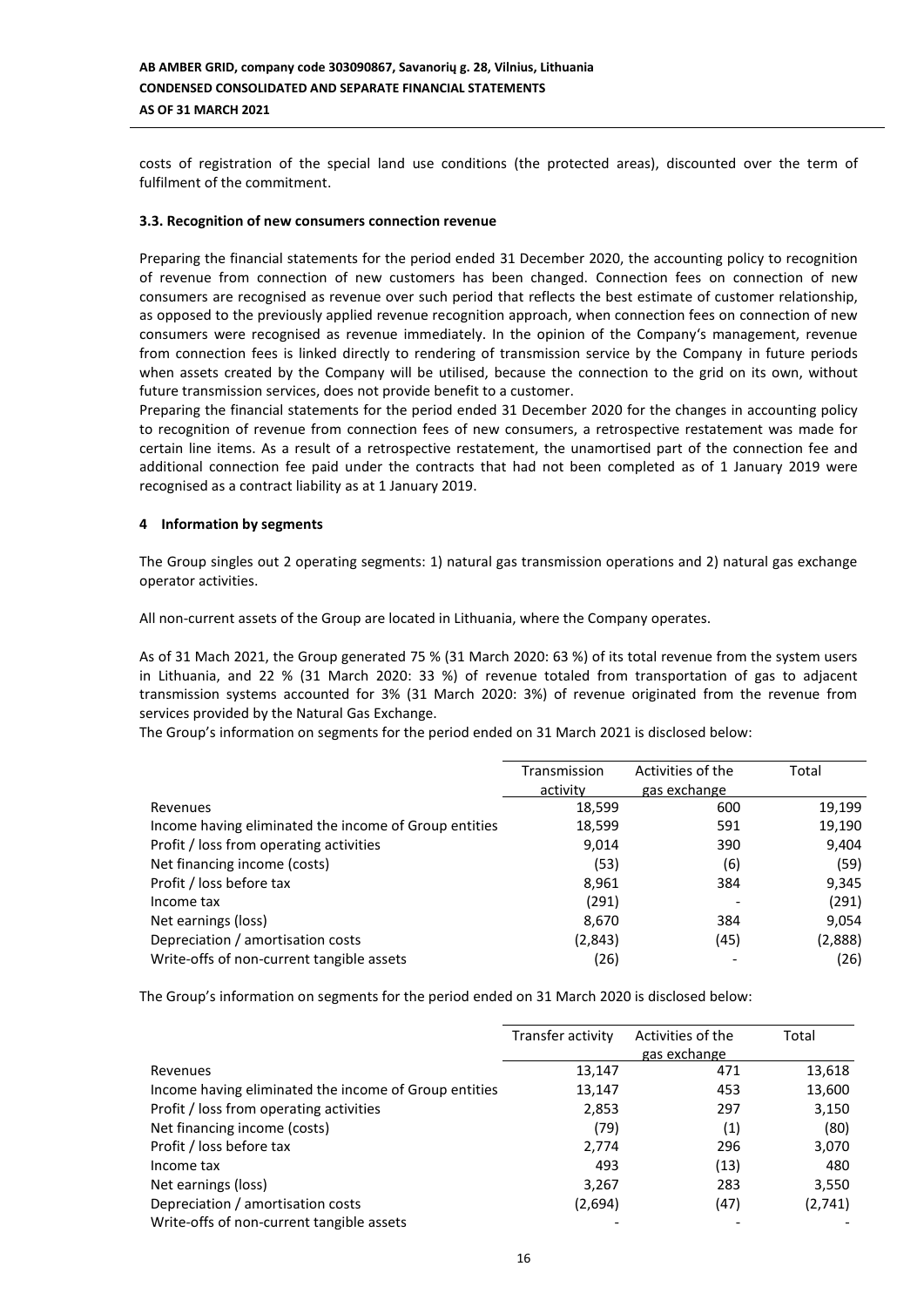costs of registration of the special land use conditions (the protected areas), discounted over the term of fulfilment of the commitment.

#### **3.3. Recognition of new consumers connection revenue**

Preparing the financial statements for the period ended 31 December 2020, the accounting policy to recognition of revenue from connection of new customers has been changed. Connection fees on connection of new consumers are recognised as revenue over such period that reflects the best estimate of customer relationship, as opposed to the previously applied revenue recognition approach, when connection fees on connection of new consumers were recognised as revenue immediately. In the opinion of the Company's management, revenue from connection fees is linked directly to rendering of transmission service by the Company in future periods when assets created by the Company will be utilised, because the connection to the grid on its own, without future transmission services, does not provide benefit to a customer.

Preparing the financial statements for the period ended 31 December 2020 for the changes in accounting policy to recognition of revenue from connection fees of new consumers, a retrospective restatement was made for certain line items. As a result of a retrospective restatement, the unamortised part of the connection fee and additional connection fee paid under the contracts that had not been completed as of 1 January 2019 were recognised as a contract liability as at 1 January 2019.

## **4 Information by segments**

The Group singles out 2 operating segments: 1) natural gas transmission operations and 2) natural gas exchange operator activities.

All non-current assets of the Group are located in Lithuania, where the Company operates.

As of 31 Mach 2021, the Group generated 75 % (31 March 2020: 63 %) of its total revenue from the system users in Lithuania, and 22 % (31 March 2020: 33 %) of revenue totaled from transportation of gas to adjacent transmission systems accounted for 3% (31 March 2020: 3%) of revenue originated from the revenue from services provided by the Natural Gas Exchange.

The Group's information on segments for the period ended on 31 March 2021 is disclosed below:

|                                                       | Transmission | Activities of the | Total   |
|-------------------------------------------------------|--------------|-------------------|---------|
|                                                       | activity     | gas exchange      |         |
| Revenues                                              | 18,599       | 600               | 19,199  |
| Income having eliminated the income of Group entities | 18,599       | 591               | 19,190  |
| Profit / loss from operating activities               | 9.014        | 390               | 9,404   |
| Net financing income (costs)                          | (53)         | (6)               | (59)    |
| Profit / loss before tax                              | 8,961        | 384               | 9,345   |
| Income tax                                            | (291)        |                   | (291)   |
| Net earnings (loss)                                   | 8,670        | 384               | 9,054   |
| Depreciation / amortisation costs                     | (2,843)      | (45)              | (2,888) |
| Write-offs of non-current tangible assets             | (26)         |                   | (26)    |

The Group's information on segments for the period ended on 31 March 2020 is disclosed below:

|                                                       | Transfer activity | Activities of the | Total   |
|-------------------------------------------------------|-------------------|-------------------|---------|
|                                                       |                   | gas exchange      |         |
| Revenues                                              | 13,147            | 471               | 13,618  |
| Income having eliminated the income of Group entities | 13,147            | 453               | 13,600  |
| Profit / loss from operating activities               | 2,853             | 297               | 3,150   |
| Net financing income (costs)                          | (79)              | (1)               | (80)    |
| Profit / loss before tax                              | 2,774             | 296               | 3,070   |
| Income tax                                            | 493               | (13)              | 480     |
| Net earnings (loss)                                   | 3,267             | 283               | 3,550   |
| Depreciation / amortisation costs                     | (2,694)           | (47)              | (2,741) |
| Write-offs of non-current tangible assets             |                   |                   |         |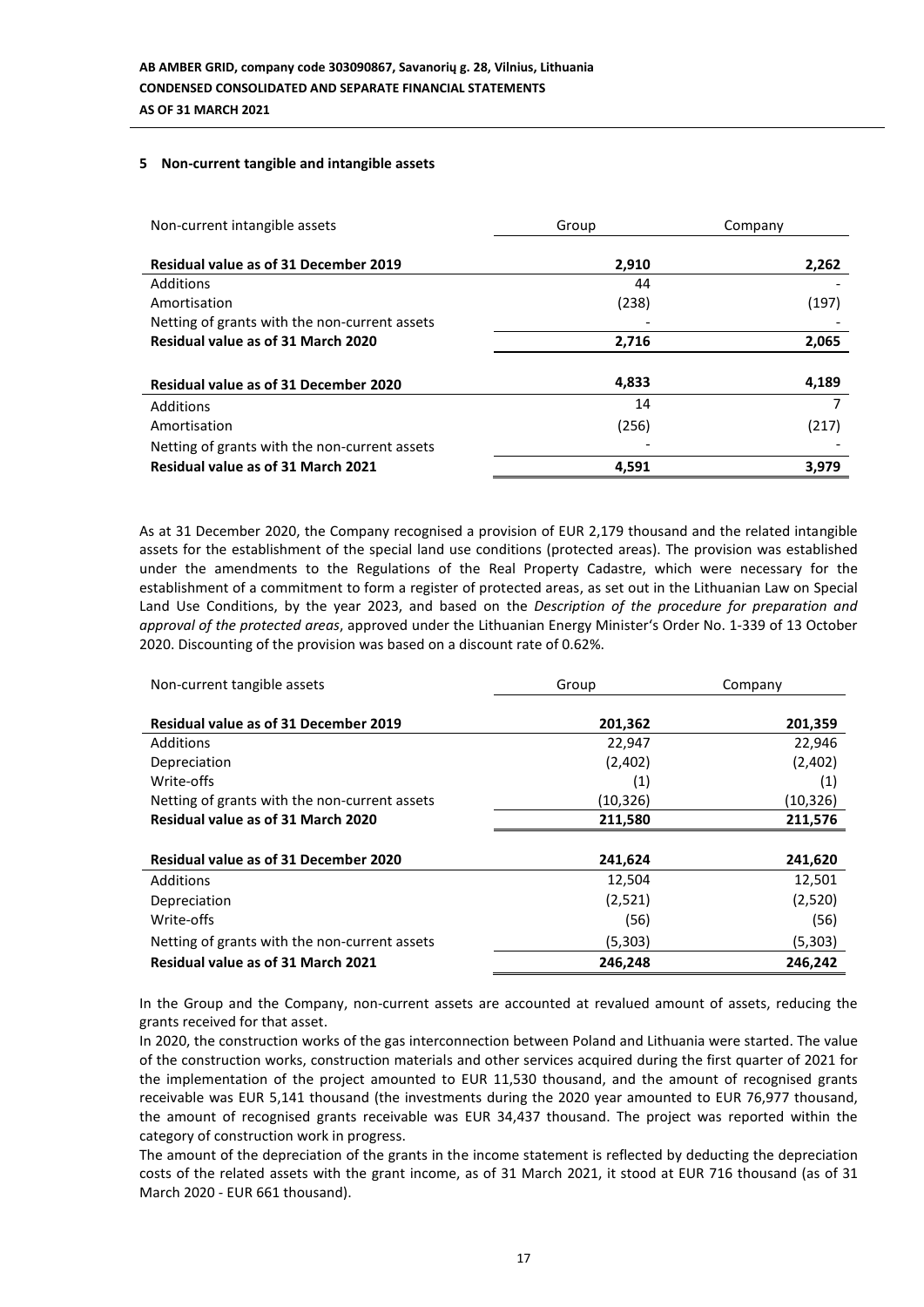## **5 Non-current tangible and intangible assets**

| Non-current intangible assets                 | Group | Company |
|-----------------------------------------------|-------|---------|
| <b>Residual value as of 31 December 2019</b>  | 2,910 | 2,262   |
| Additions                                     | 44    |         |
| Amortisation                                  | (238) | (197)   |
| Netting of grants with the non-current assets |       |         |
| Residual value as of 31 March 2020            | 2,716 | 2,065   |
|                                               |       |         |
| <b>Residual value as of 31 December 2020</b>  | 4,833 | 4,189   |
| Additions                                     | 14    |         |
| Amortisation                                  | (256) | (217)   |
| Netting of grants with the non-current assets |       |         |
| Residual value as of 31 March 2021            | 4,591 | 3,979   |

As at 31 December 2020, the Company recognised a provision of EUR 2,179 thousand and the related intangible assets for the establishment of the special land use conditions (protected areas). The provision was established under the amendments to the Regulations of the Real Property Cadastre, which were necessary for the establishment of a commitment to form a register of protected areas, as set out in the Lithuanian Law on Special Land Use Conditions, by the year 2023, and based on the *Description of the procedure for preparation and approval of the protected areas*, approved under the Lithuanian Energy Minister's Order No. 1-339 of 13 October 2020. Discounting of the provision was based on a discount rate of 0.62%.

| Non-current tangible assets                   | Group     | Company   |
|-----------------------------------------------|-----------|-----------|
|                                               |           |           |
| <b>Residual value as of 31 December 2019</b>  | 201,362   | 201,359   |
| Additions                                     | 22,947    | 22,946    |
| Depreciation                                  | (2,402)   | (2,402)   |
| Write-offs                                    | (1)       | (1)       |
| Netting of grants with the non-current assets | (10, 326) | (10, 326) |
| Residual value as of 31 March 2020            | 211,580   | 211,576   |
|                                               |           |           |
| <b>Residual value as of 31 December 2020</b>  | 241,624   | 241,620   |
| <b>Additions</b>                              | 12,504    | 12,501    |
| Depreciation                                  | (2,521)   | (2,520)   |
| Write-offs                                    | (56)      | (56)      |
| Netting of grants with the non-current assets | (5,303)   | (5,303)   |
| Residual value as of 31 March 2021            | 246.248   | 246,242   |

In the Group and the Company, non-current assets are accounted at revalued amount of assets, reducing the grants received for that asset.

In 2020, the construction works of the gas interconnection between Poland and Lithuania were started. The value of the construction works, construction materials and other services acquired during the first quarter of 2021 for the implementation of the project amounted to EUR 11,530 thousand, and the amount of recognised grants receivable was EUR 5,141 thousand (the investments during the 2020 year amounted to EUR 76,977 thousand, the amount of recognised grants receivable was EUR 34,437 thousand. The project was reported within the category of construction work in progress.

The amount of the depreciation of the grants in the income statement is reflected by deducting the depreciation costs of the related assets with the grant income, as of 31 March 2021, it stood at EUR 716 thousand (as of 31 March 2020 - EUR 661 thousand).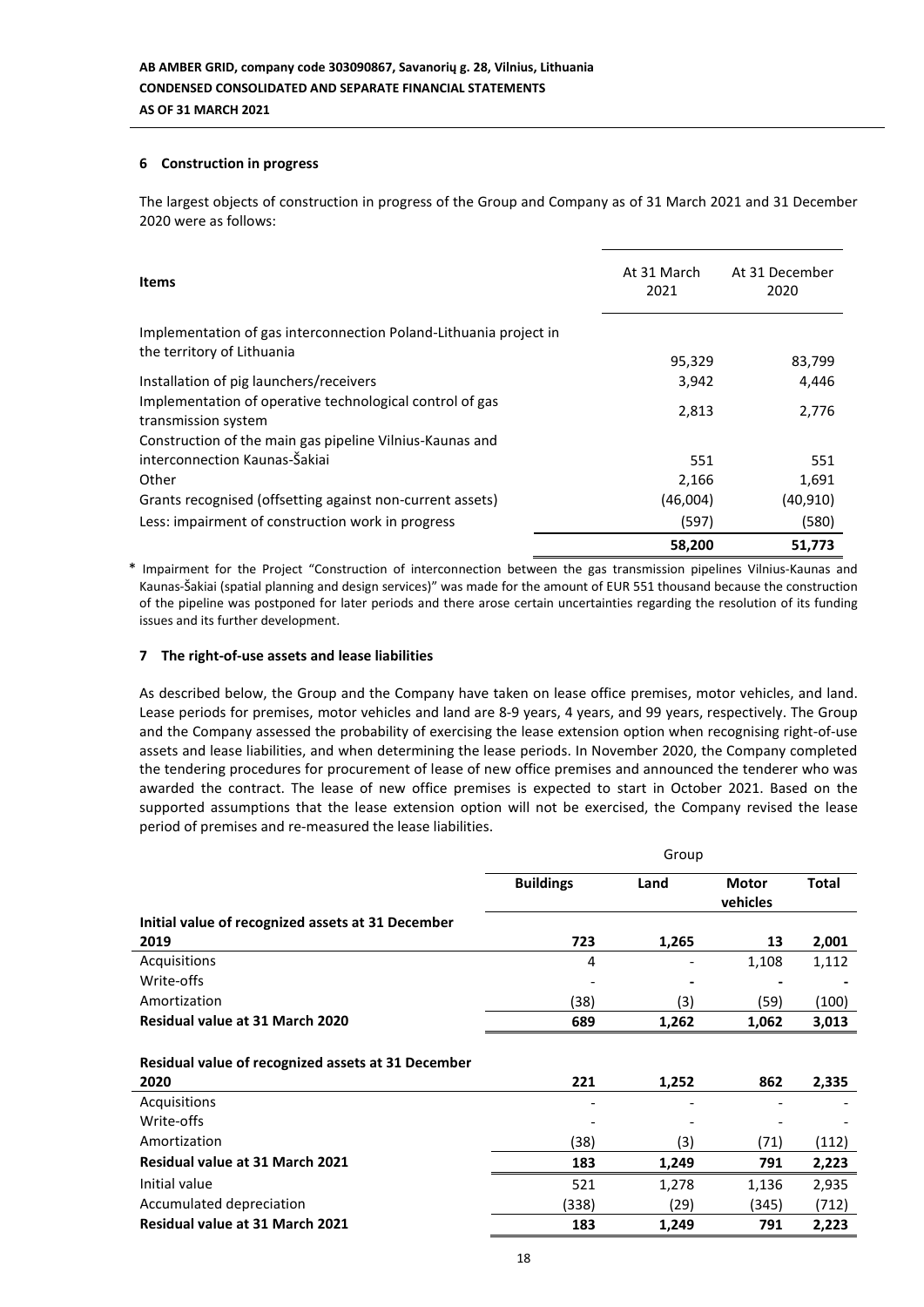## **6 Construction in progress**

The largest objects of construction in progress of the Group and Company as of 31 March 2021 and 31 December 2020 were as follows:

| <b>Items</b>                                                                                    | At 31 March<br>2021 | At 31 December<br>2020 |
|-------------------------------------------------------------------------------------------------|---------------------|------------------------|
| Implementation of gas interconnection Poland-Lithuania project in<br>the territory of Lithuania | 95,329              | 83,799                 |
| Installation of pig launchers/receivers                                                         | 3,942               | 4,446                  |
| Implementation of operative technological control of gas<br>transmission system                 | 2,813               | 2.776                  |
| Construction of the main gas pipeline Vilnius-Kaunas and                                        |                     |                        |
| interconnection Kaunas-Šakiai                                                                   | 551                 | 551                    |
| Other                                                                                           | 2,166               | 1,691                  |
| Grants recognised (offsetting against non-current assets)                                       | (46,004)            | (40, 910)              |
| Less: impairment of construction work in progress                                               | (597)               | (580)                  |
|                                                                                                 | 58,200              | 51,773                 |

\* Impairment for the Project "Construction of interconnection between the gas transmission pipelines Vilnius-Kaunas and Kaunas-Šakiai (spatial planning and design services)" was made for the amount of EUR 551 thousand because the construction of the pipeline was postponed for later periods and there arose certain uncertainties regarding the resolution of its funding issues and its further development.

## **7 The right-of-use assets and lease liabilities**

As described below, the Group and the Company have taken on lease office premises, motor vehicles, and land. Lease periods for premises, motor vehicles and land are 8-9 years, 4 years, and 99 years, respectively. The Group and the Company assessed the probability of exercising the lease extension option when recognising right-of-use assets and lease liabilities, and when determining the lease periods. In November 2020, the Company completed the tendering procedures for procurement of lease of new office premises and announced the tenderer who was awarded the contract. The lease of new office premises is expected to start in October 2021. Based on the supported assumptions that the lease extension option will not be exercised, the Company revised the lease period of premises and re-measured the lease liabilities.

|                                                            |                  | Group |                          |              |
|------------------------------------------------------------|------------------|-------|--------------------------|--------------|
|                                                            | <b>Buildings</b> | Land  | <b>Motor</b><br>vehicles | <b>Total</b> |
| Initial value of recognized assets at 31 December          |                  |       |                          |              |
| 2019                                                       | 723              | 1,265 | 13                       | 2,001        |
| Acquisitions                                               | 4                |       | 1,108                    | 1,112        |
| Write-offs                                                 |                  |       |                          |              |
| Amortization                                               | (38)             | (3)   | (59)                     | (100)        |
| <b>Residual value at 31 March 2020</b>                     | 689              | 1,262 | 1,062                    | 3,013        |
| Residual value of recognized assets at 31 December<br>2020 | 221              | 1,252 | 862                      | 2,335        |
| Acquisitions                                               |                  |       |                          |              |
| Write-offs                                                 |                  |       |                          |              |
| Amortization                                               | (38)             | (3)   | (71)                     | (112)        |
| <b>Residual value at 31 March 2021</b>                     | 183              | 1,249 | 791                      | 2,223        |
| Initial value                                              | 521              | 1,278 | 1,136                    | 2,935        |
| Accumulated depreciation                                   | (338)            | (29)  | (345)                    | (712)        |
| Residual value at 31 March 2021                            | 183              | 1,249 | 791                      | 2,223        |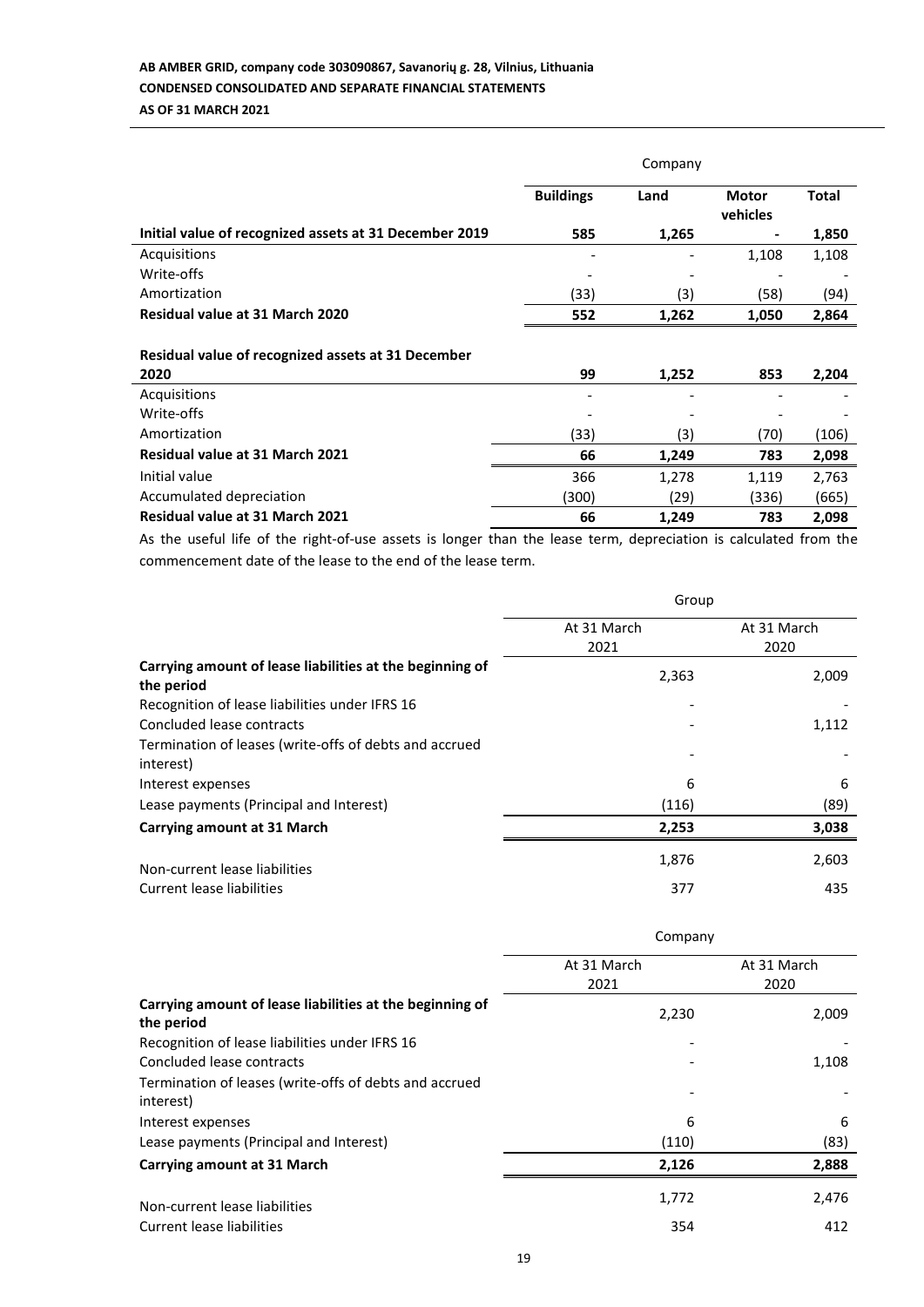# **AB AMBER GRID, company code 303090867, Savanorių g. 28, Vilnius, Lithuania CONDENSED CONSOLIDATED AND SEPARATE FINANCIAL STATEMENTS AS OF 31 MARCH 2021**

|                                                        | Company          |       |                          |              |
|--------------------------------------------------------|------------------|-------|--------------------------|--------------|
|                                                        | <b>Buildings</b> | Land  | <b>Motor</b><br>vehicles | <b>Total</b> |
| Initial value of recognized assets at 31 December 2019 | 585              | 1,265 |                          | 1,850        |
| Acquisitions                                           |                  |       | 1,108                    | 1,108        |
| Write-offs                                             |                  |       |                          |              |
| Amortization                                           | (33)             | (3)   | (58)                     | (94)         |
| Residual value at 31 March 2020                        | 552              | 1,262 | 1,050                    | 2,864        |
| Residual value of recognized assets at 31 December     |                  |       |                          |              |
| 2020                                                   | 99               | 1,252 | 853                      | 2,204        |
| Acquisitions<br>Write-offs                             |                  |       |                          |              |
| Amortization                                           | (33)             | (3)   | (70)                     | (106)        |
| Residual value at 31 March 2021                        | 66               | 1,249 | 783                      | 2,098        |
| Initial value                                          | 366              | 1,278 | 1,119                    | 2,763        |
| Accumulated depreciation                               | (300)            | (29)  | (336)                    | (665)        |
| <b>Residual value at 31 March 2021</b>                 | 66               | 1,249 | 783                      | 2,098        |

As the useful life of the right-of-use assets is longer than the lease term, depreciation is calculated from the commencement date of the lease to the end of the lease term.

|                                                                        | Group       |             |  |
|------------------------------------------------------------------------|-------------|-------------|--|
|                                                                        | At 31 March | At 31 March |  |
|                                                                        | 2021        | 2020        |  |
| Carrying amount of lease liabilities at the beginning of<br>the period | 2,363       | 2,009       |  |
| Recognition of lease liabilities under IFRS 16                         |             |             |  |
| Concluded lease contracts                                              |             | 1,112       |  |
| Termination of leases (write-offs of debts and accrued                 |             |             |  |
| interest)                                                              |             |             |  |
| Interest expenses                                                      | 6           | 6           |  |
| Lease payments (Principal and Interest)                                | (116)       | (89)        |  |
| Carrying amount at 31 March                                            | 2,253       | 3,038       |  |
| Non-current lease liabilities                                          | 1,876       | 2,603       |  |
| Current lease liabilities                                              | 377         | 435         |  |

|                                                                        | Company     |             |  |
|------------------------------------------------------------------------|-------------|-------------|--|
|                                                                        | At 31 March | At 31 March |  |
|                                                                        | 2021        | 2020        |  |
| Carrying amount of lease liabilities at the beginning of<br>the period | 2,230       | 2,009       |  |
| Recognition of lease liabilities under IFRS 16                         |             |             |  |
| Concluded lease contracts                                              |             | 1,108       |  |
| Termination of leases (write-offs of debts and accrued<br>interest)    |             |             |  |
| Interest expenses                                                      | 6           | 6           |  |
| Lease payments (Principal and Interest)                                | (110)       | (83)        |  |
| <b>Carrying amount at 31 March</b>                                     | 2,126       | 2,888       |  |
| Non-current lease liabilities                                          | 1,772       | 2,476       |  |
| Current lease liabilities                                              | 354         | 412         |  |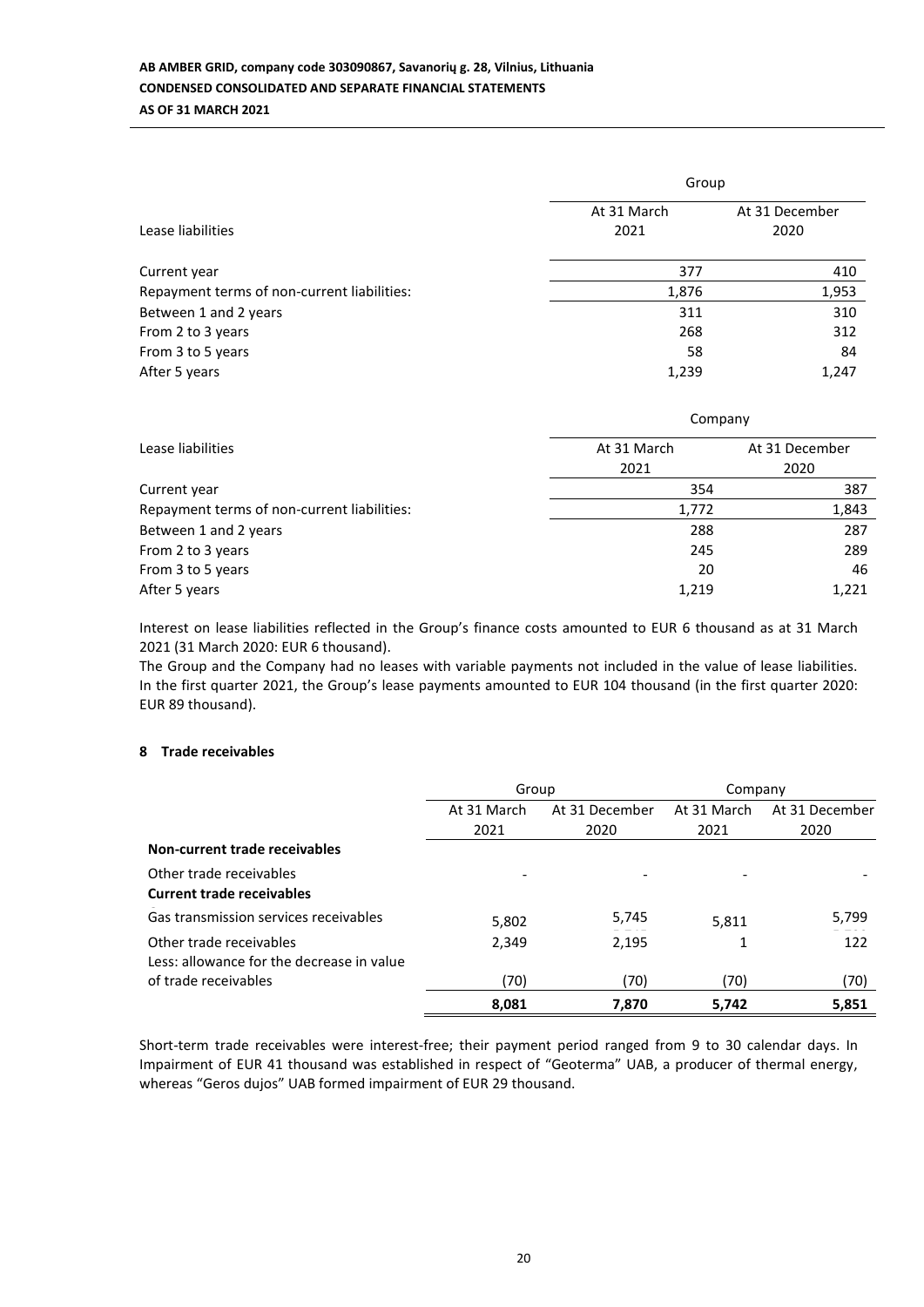|                                             | Group               |                        |  |  |
|---------------------------------------------|---------------------|------------------------|--|--|
| Lease liabilities                           | At 31 March<br>2021 | At 31 December<br>2020 |  |  |
| Current year                                | 377                 | 410                    |  |  |
| Repayment terms of non-current liabilities: | 1,876               | 1,953                  |  |  |
| Between 1 and 2 years                       | 311                 | 310                    |  |  |
| From 2 to 3 years                           | 268                 | 312                    |  |  |
| From 3 to 5 years                           | 58                  | 84                     |  |  |
| After 5 years                               | 1,239               | 1,247                  |  |  |

|                                             | Company        |                |  |  |
|---------------------------------------------|----------------|----------------|--|--|
| Lease liabilities                           | At 31 March    | At 31 December |  |  |
|                                             | 2021           | 2020           |  |  |
| Current year                                | 354            |                |  |  |
| Repayment terms of non-current liabilities: | 1,772          | 1,843          |  |  |
| Between 1 and 2 years                       | 288            | 287            |  |  |
| From 2 to 3 years                           | 245            | 289            |  |  |
| From 3 to 5 years                           | 20             | 46             |  |  |
| After 5 years                               | 1,219<br>1,221 |                |  |  |

Interest on lease liabilities reflected in the Group's finance costs amounted to EUR 6 thousand as at 31 March 2021 (31 March 2020: EUR 6 thousand).

The Group and the Company had no leases with variable payments not included in the value of lease liabilities. In the first quarter 2021, the Group's lease payments amounted to EUR 104 thousand (in the first quarter 2020: EUR 89 thousand).

## **8 Trade receivables**

|                                           | Group       |                | Company     |                |
|-------------------------------------------|-------------|----------------|-------------|----------------|
|                                           | At 31 March | At 31 December | At 31 March | At 31 December |
|                                           | 2021        | 2020           | 2021        | 2020           |
| Non-current trade receivables             |             |                |             |                |
| Other trade receivables                   |             |                |             |                |
| <b>Current trade receivables</b>          |             |                |             |                |
| Gas transmission services receivables     | 5,802       | 5,745          | 5.811       | 5,799          |
| Other trade receivables                   | 2,349       | 2,195          |             | 122            |
| Less: allowance for the decrease in value |             |                |             |                |
| of trade receivables                      | (70)        | (70)           | (70)        | (70)           |
|                                           | 8,081       | 7.870          | 5,742       | 5,851          |

Short-term trade receivables were interest-free; their payment period ranged from 9 to 30 calendar days. In Impairment of EUR 41 thousand was established in respect of "Geoterma" UAB, a producer of thermal energy, whereas "Geros dujos" UAB formed impairment of EUR 29 thousand.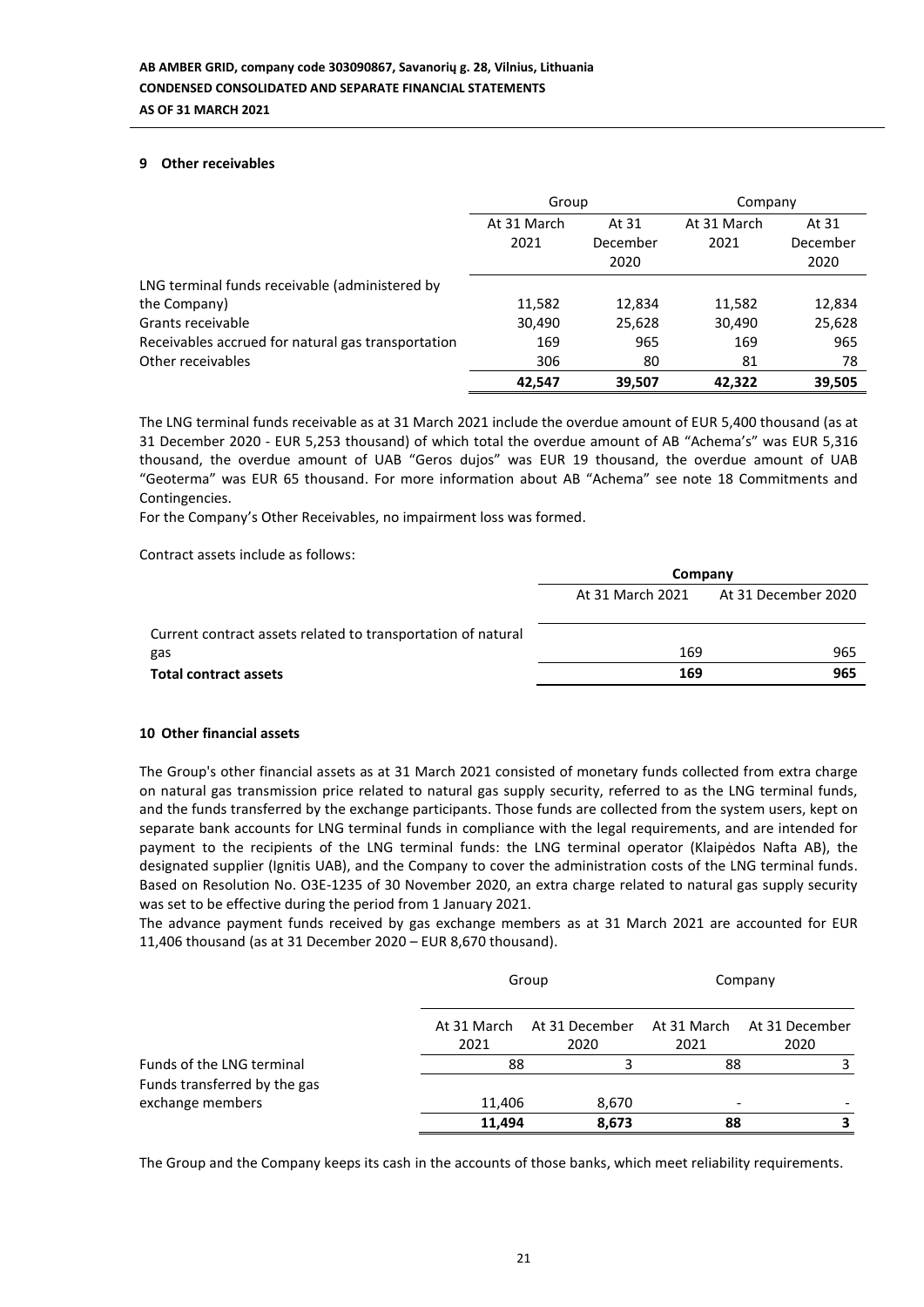### **9 Other receivables**

|                                                    | Group               |                           | Company             |                           |
|----------------------------------------------------|---------------------|---------------------------|---------------------|---------------------------|
|                                                    | At 31 March<br>2021 | At 31<br>December<br>2020 | At 31 March<br>2021 | At 31<br>December<br>2020 |
| LNG terminal funds receivable (administered by     |                     |                           |                     |                           |
| the Company)                                       | 11,582              | 12,834                    | 11,582              | 12,834                    |
| Grants receivable                                  | 30,490              | 25,628                    | 30,490              | 25,628                    |
| Receivables accrued for natural gas transportation | 169                 | 965                       | 169                 | 965                       |
| Other receivables                                  | 306                 | 80                        | 81                  | 78                        |
|                                                    | 42.547              | 39.507                    | 42.322              | 39,505                    |

The LNG terminal funds receivable as at 31 March 2021 include the overdue amount of EUR 5,400 thousand (as at 31 December 2020 - EUR 5,253 thousand) of which total the overdue amount of AB "Achema's" was EUR 5,316 thousand, the overdue amount of UAB "Geros dujos" was EUR 19 thousand, the overdue amount of UAB "Geoterma" was EUR 65 thousand. For more information about AB "Achema" see note 18 Commitments and Contingencies.

For the Company's Other Receivables, no impairment loss was formed.

Contract assets include as follows:

|                                                              | Company          |                     |  |  |
|--------------------------------------------------------------|------------------|---------------------|--|--|
|                                                              | At 31 March 2021 | At 31 December 2020 |  |  |
| Current contract assets related to transportation of natural |                  |                     |  |  |
| gas                                                          | 169              | 965                 |  |  |
| <b>Total contract assets</b>                                 | 169              | 965                 |  |  |

#### **10 Other financial assets**

The Group's other financial assets as at 31 March 2021 consisted of monetary funds collected from extra charge on natural gas transmission price related to natural gas supply security, referred to as the LNG terminal funds, and the funds transferred by the exchange participants. Those funds are collected from the system users, kept on separate bank accounts for LNG terminal funds in compliance with the legal requirements, and are intended for payment to the recipients of the LNG terminal funds: the LNG terminal operator (Klaipėdos Nafta AB), the designated supplier (Ignitis UAB), and the Company to cover the administration costs of the LNG terminal funds. Based on Resolution No. O3E-1235 of 30 November 2020, an extra charge related to natural gas supply security was set to be effective during the period from 1 January 2021.

The advance payment funds received by gas exchange members as at 31 March 2021 are accounted for EUR 11,406 thousand (as at 31 December 2020 – EUR 8,670 thousand).

|                                                           |                     | Group                  |                                | Company                            |  |
|-----------------------------------------------------------|---------------------|------------------------|--------------------------------|------------------------------------|--|
|                                                           | At 31 March<br>2021 | At 31 December<br>2020 | 2021                           | At 31 March At 31 December<br>2020 |  |
| Funds of the LNG terminal<br>Funds transferred by the gas | 88                  |                        | 88                             |                                    |  |
| exchange members                                          | 11,406<br>11,494    | 8,670<br>8,673         | $\overline{\phantom{a}}$<br>88 |                                    |  |

The Group and the Company keeps its cash in the accounts of those banks, which meet reliability requirements.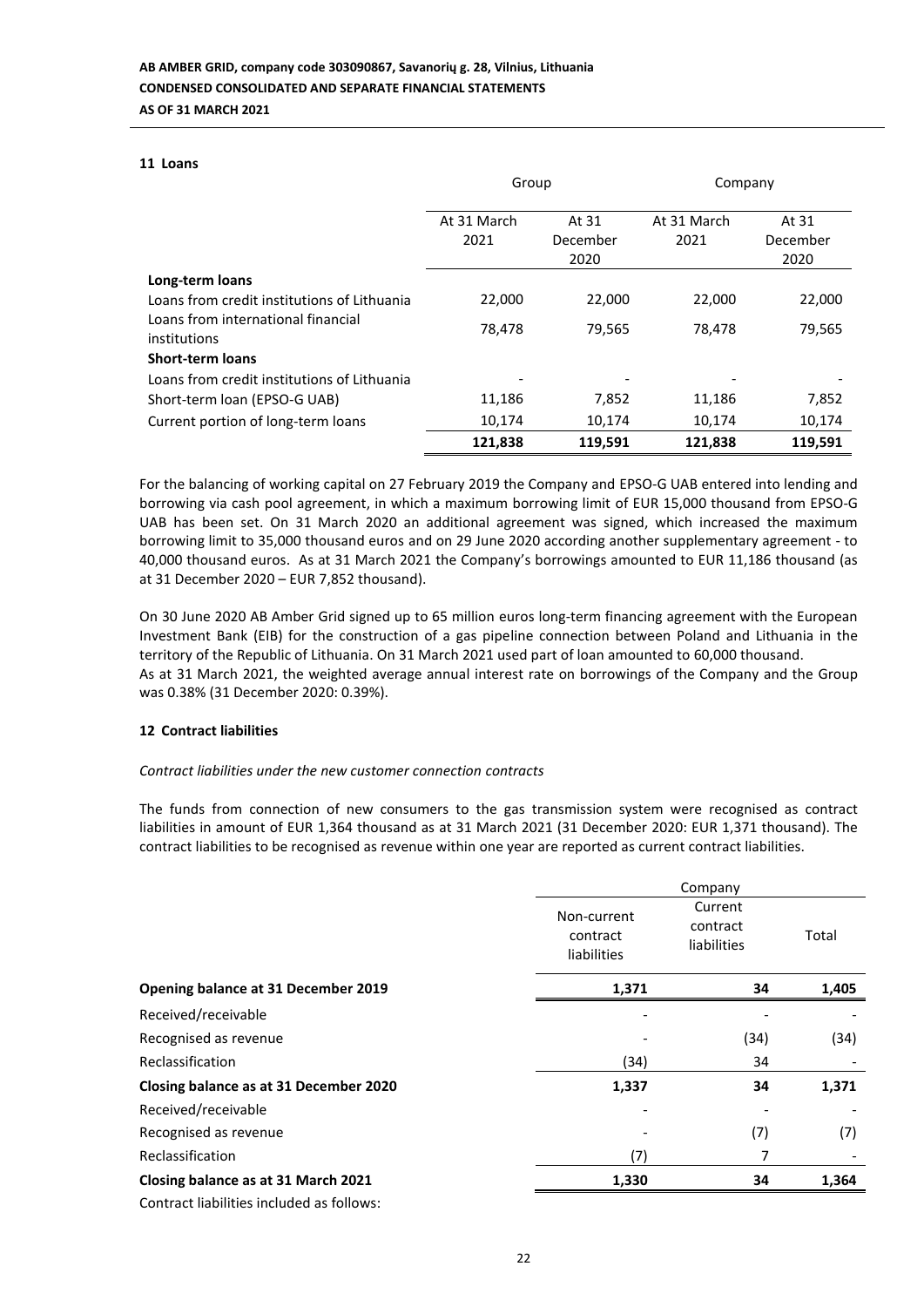#### **11 Loans**

|                                                    | Group               |                           | Company             |                           |
|----------------------------------------------------|---------------------|---------------------------|---------------------|---------------------------|
|                                                    | At 31 March<br>2021 | At 31<br>December<br>2020 | At 31 March<br>2021 | At 31<br>December<br>2020 |
| Long-term loans                                    |                     |                           |                     |                           |
| Loans from credit institutions of Lithuania        | 22,000              | 22,000                    | 22,000              | 22,000                    |
| Loans from international financial<br>institutions | 78,478              | 79,565                    | 78,478              | 79,565                    |
| <b>Short-term loans</b>                            |                     |                           |                     |                           |
| Loans from credit institutions of Lithuania        |                     |                           |                     |                           |
| Short-term loan (EPSO-G UAB)                       | 11,186              | 7,852                     | 11,186              | 7,852                     |
| Current portion of long-term loans                 | 10,174              | 10,174                    | 10,174              | 10,174                    |
|                                                    | 121,838             | 119,591                   | 121,838             | 119,591                   |

For the balancing of working capital on 27 February 2019 the Company and EPSO-G UAB entered into lending and borrowing via cash pool agreement, in which a maximum borrowing limit of EUR 15,000 thousand from EPSO-G UAB has been set. On 31 March 2020 an additional agreement was signed, which increased the maximum borrowing limit to 35,000 thousand euros and on 29 June 2020 according another supplementary agreement - to 40,000 thousand euros. As at 31 March 2021 the Company's borrowings amounted to EUR 11,186 thousand (as at 31 December 2020 – EUR 7,852 thousand).

On 30 June 2020 AB Amber Grid signed up to 65 million euros long-term financing agreement with the European Investment Bank (EIB) for the construction of a gas pipeline connection between Poland and Lithuania in the territory of the Republic of Lithuania. On 31 March 2021 used part of loan amounted to 60,000 thousand. As at 31 March 2021, the weighted average annual interest rate on borrowings of the Company and the Group was 0.38% (31 December 2020: 0.39%).

## **12 Contract liabilities**

## *Contract liabilities under the new customer connection contracts*

The funds from connection of new consumers to the gas transmission system were recognised as contract liabilities in amount of EUR 1,364 thousand as at 31 March 2021 (31 December 2020: EUR 1,371 thousand). The contract liabilities to be recognised as revenue within one year are reported as current contract liabilities.

|                                           |                                               | Company                            |       |  |
|-------------------------------------------|-----------------------------------------------|------------------------------------|-------|--|
|                                           | Non-current<br>contract<br><b>liabilities</b> | Current<br>contract<br>liabilities | Total |  |
| Opening balance at 31 December 2019       | 1,371                                         | 34                                 | 1,405 |  |
| Received/receivable                       |                                               |                                    |       |  |
| Recognised as revenue                     |                                               | (34)                               | (34)  |  |
| Reclassification                          | (34)                                          | 34                                 |       |  |
| Closing balance as at 31 December 2020    | 1,337                                         | 34                                 | 1,371 |  |
| Received/receivable                       |                                               |                                    |       |  |
| Recognised as revenue                     |                                               | (7)                                | (7)   |  |
| Reclassification                          | (7)                                           | 7                                  |       |  |
| Closing balance as at 31 March 2021       | 1,330                                         | 34                                 | 1,364 |  |
| Contract liabilities included as follows: |                                               |                                    |       |  |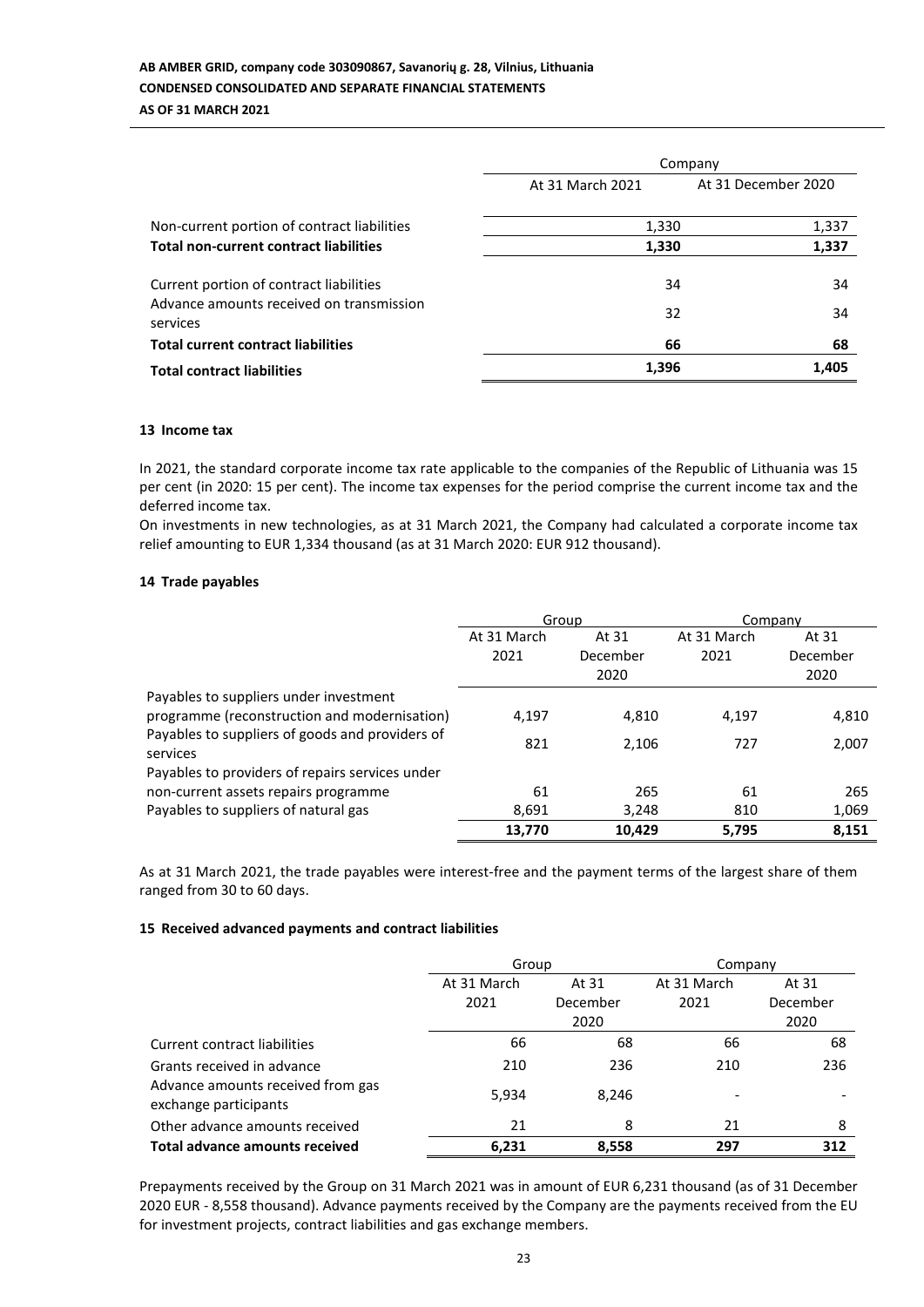# **AB AMBER GRID, company code 303090867, Savanorių g. 28, Vilnius, Lithuania CONDENSED CONSOLIDATED AND SEPARATE FINANCIAL STATEMENTS AS OF 31 MARCH 2021**

|                                                                                                 | Company          |                     |  |
|-------------------------------------------------------------------------------------------------|------------------|---------------------|--|
|                                                                                                 | At 31 March 2021 | At 31 December 2020 |  |
| Non-current portion of contract liabilities                                                     | 1,330            | 1,337               |  |
| <b>Total non-current contract liabilities</b>                                                   | 1,330            | 1,337               |  |
| Current portion of contract liabilities<br>Advance amounts received on transmission<br>services | 34<br>32         | 34<br>34            |  |
| <b>Total current contract liabilities</b>                                                       | 66               | 68                  |  |
| <b>Total contract liabilities</b>                                                               | 1,396            | 1,405               |  |

#### **13 Income tax**

In 2021, the standard corporate income tax rate applicable to the companies of the Republic of Lithuania was 15 per cent (in 2020: 15 per cent). The income tax expenses for the period comprise the current income tax and the deferred income tax.

On investments in new technologies, as at 31 March 2021, the Company had calculated a corporate income tax relief amounting to EUR 1,334 thousand (as at 31 March 2020: EUR 912 thousand).

## **14 Trade payables**

|                                                             | Group       |          | Company     |          |
|-------------------------------------------------------------|-------------|----------|-------------|----------|
|                                                             | At 31 March | At 31    | At 31 March | At 31    |
|                                                             | 2021        | December | 2021        | December |
|                                                             |             | 2020     |             | 2020     |
| Payables to suppliers under investment                      |             |          |             |          |
| programme (reconstruction and modernisation)                | 4.197       | 4,810    | 4,197       | 4,810    |
| Payables to suppliers of goods and providers of<br>services | 821         | 2,106    | 727         | 2,007    |
| Payables to providers of repairs services under             |             |          |             |          |
| non-current assets repairs programme                        | 61          | 265      | 61          | 265      |
| Payables to suppliers of natural gas                        | 8,691       | 3,248    | 810         | 1,069    |
|                                                             | 13,770      | 10,429   | 5.795       | 8,151    |

As at 31 March 2021, the trade payables were interest-free and the payment terms of the largest share of them ranged from 30 to 60 days.

## **15 Received advanced payments and contract liabilities**

|                                                            | Group       |          | Company     |          |
|------------------------------------------------------------|-------------|----------|-------------|----------|
|                                                            | At 31 March | At 31    | At 31 March | At 31    |
|                                                            | 2021        | December | 2021        | December |
|                                                            |             | 2020     |             | 2020     |
| Current contract liabilities                               | 66          | 68       | 66          | 68       |
| Grants received in advance                                 | 210         | 236      | 210         | 236      |
| Advance amounts received from gas<br>exchange participants | 5,934       | 8,246    |             |          |
| Other advance amounts received                             | 21          | 8        | 21          | 8        |
| <b>Total advance amounts received</b>                      | 6,231       | 8,558    | 297         | 312      |

Prepayments received by the Group on 31 March 2021 was in amount of EUR 6,231 thousand (as of 31 December 2020 EUR - 8,558 thousand). Advance payments received by the Company are the payments received from the EU for investment projects, contract liabilities and gas exchange members.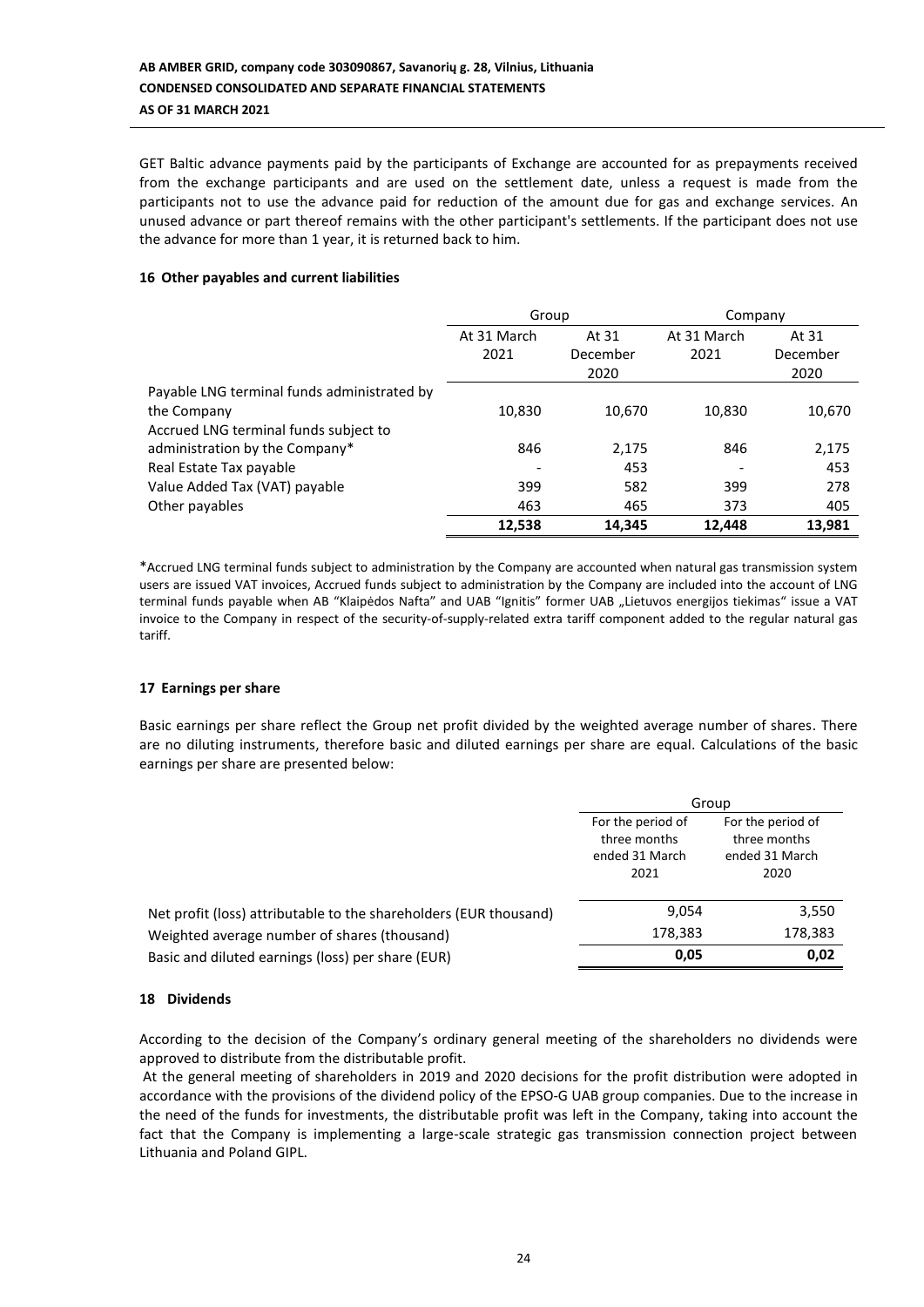GET Baltic advance payments paid by the participants of Exchange are accounted for as prepayments received from the exchange participants and are used on the settlement date, unless a request is made from the participants not to use the advance paid for reduction of the amount due for gas and exchange services. An unused advance or part thereof remains with the other participant's settlements. If the participant does not use the advance for more than 1 year, it is returned back to him.

## **16 Other payables and current liabilities**

|                                             | Group       |          | Company     |          |  |
|---------------------------------------------|-------------|----------|-------------|----------|--|
|                                             | At 31 March | At 31    | At 31 March | At 31    |  |
|                                             | 2021        | December | 2021        | December |  |
|                                             |             | 2020     |             | 2020     |  |
| Payable LNG terminal funds administrated by |             |          |             |          |  |
| the Company                                 | 10,830      | 10,670   | 10,830      | 10,670   |  |
| Accrued LNG terminal funds subject to       |             |          |             |          |  |
| administration by the Company*              | 846         | 2,175    | 846         | 2,175    |  |
| Real Estate Tax payable                     |             | 453      |             | 453      |  |
| Value Added Tax (VAT) payable               | 399         | 582      | 399         | 278      |  |
| Other payables                              | 463         | 465      | 373         | 405      |  |
|                                             | 12.538      | 14,345   | 12.448      | 13,981   |  |

\*Accrued LNG terminal funds subject to administration by the Company are accounted when natural gas transmission system users are issued VAT invoices, Accrued funds subject to administration by the Company are included into the account of LNG terminal funds payable when AB "Klaipėdos Nafta" and UAB "Ignitis" former UAB "Lietuvos energijos tiekimas" issue a VAT invoice to the Company in respect of the security-of-supply-related extra tariff component added to the regular natural gas tariff.

## **17 Earnings per share**

Basic earnings per share reflect the Group net profit divided by the weighted average number of shares. There are no diluting instruments, therefore basic and diluted earnings per share are equal. Calculations of the basic earnings per share are presented below:

|                                                                   | Group                                                       |                                                             |  |
|-------------------------------------------------------------------|-------------------------------------------------------------|-------------------------------------------------------------|--|
|                                                                   | For the period of<br>three months<br>ended 31 March<br>2021 | For the period of<br>three months<br>ended 31 March<br>2020 |  |
| Net profit (loss) attributable to the shareholders (EUR thousand) | 9,054                                                       | 3,550                                                       |  |
| Weighted average number of shares (thousand)                      | 178,383                                                     | 178,383                                                     |  |
| Basic and diluted earnings (loss) per share (EUR)                 | 0.05                                                        | 0,02                                                        |  |

## **18 Dividends**

According to the decision of the Company's ordinary general meeting of the shareholders no dividends were approved to distribute from the distributable profit.

At the general meeting of shareholders in 2019 and 2020 decisions for the profit distribution were adopted in accordance with the provisions of the dividend policy of the EPSO-G UAB group companies. Due to the increase in the need of the funds for investments, the distributable profit was left in the Company, taking into account the fact that the Company is implementing a large-scale strategic gas transmission connection project between Lithuania and Poland GIPL.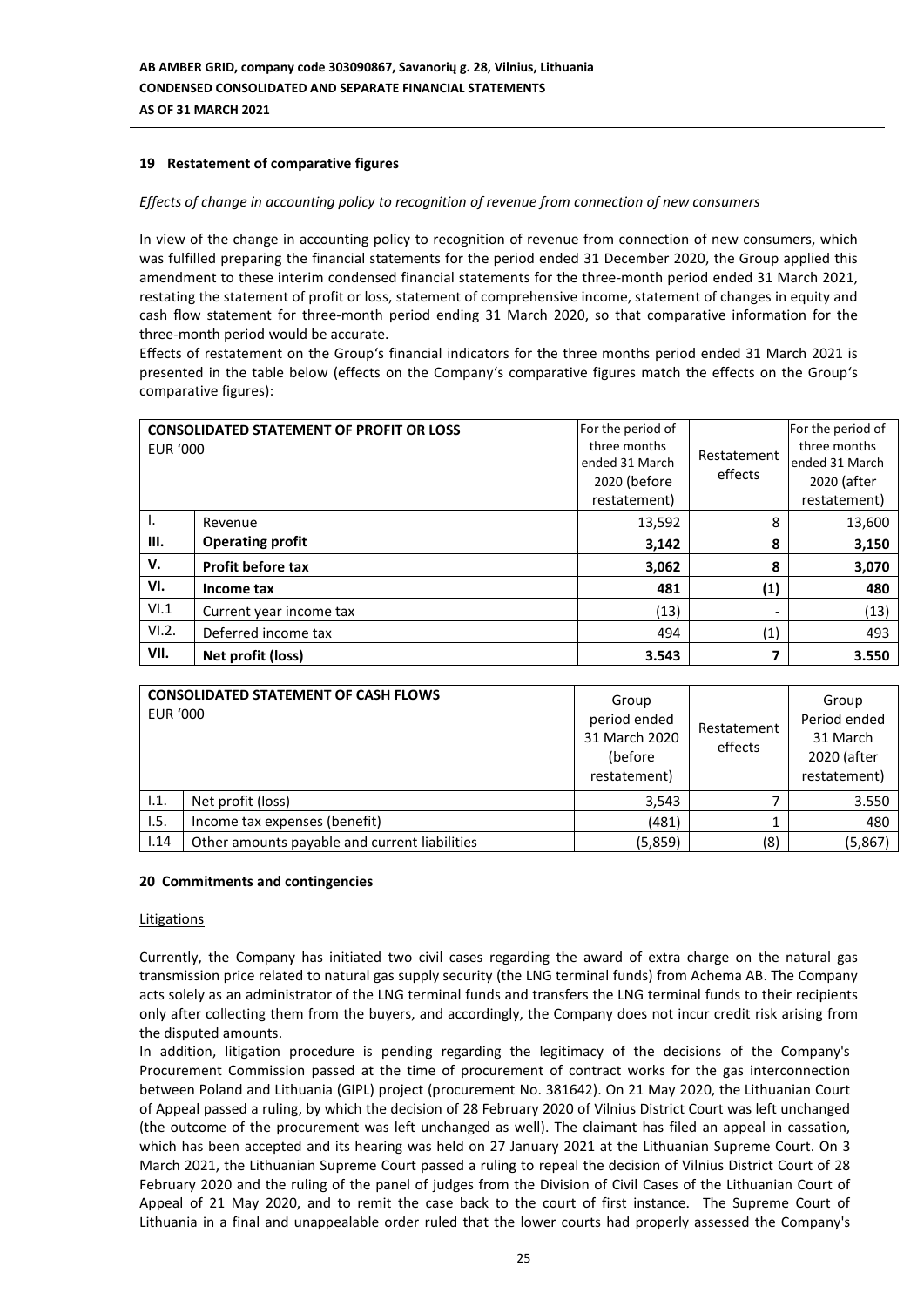## **19 Restatement of comparative figures**

#### *Effects of change in accounting policy to recognition of revenue from connection of new consumers*

In view of the change in accounting policy to recognition of revenue from connection of new consumers, which was fulfilled preparing the financial statements for the period ended 31 December 2020, the Group applied this amendment to these interim condensed financial statements for the three-month period ended 31 March 2021, restating the statement of profit or loss, statement of comprehensive income, statement of changes in equity and cash flow statement for three-month period ending 31 March 2020, so that comparative information for the three-month period would be accurate.

Effects of restatement on the Group's financial indicators for the three months period ended 31 March 2021 is presented in the table below (effects on the Company's comparative figures match the effects on the Group's comparative figures):

| <b>EUR '000</b> | <b>CONSOLIDATED STATEMENT OF PROFIT OR LOSS</b> | For the period of<br>three months<br>ended 31 March<br>2020 (before<br>restatement) | Restatement<br>effects | For the period of<br>three months<br>ended 31 March<br>2020 (after<br>restatement) |
|-----------------|-------------------------------------------------|-------------------------------------------------------------------------------------|------------------------|------------------------------------------------------------------------------------|
| ۱.              | Revenue                                         | 13,592                                                                              | 8                      | 13,600                                                                             |
| III.            | <b>Operating profit</b>                         | 3,142                                                                               | 8                      | 3,150                                                                              |
| v.              | <b>Profit before tax</b>                        | 3,062                                                                               | 8                      | 3,070                                                                              |
| VI.             | Income tax                                      | 481                                                                                 | (1)                    | 480                                                                                |
| VI.1            | Current year income tax                         | (13)                                                                                |                        | (13)                                                                               |
| VI.2.           | Deferred income tax                             | 494                                                                                 | (1)                    | 493                                                                                |
| VII.            | Net profit (loss)                               | 3.543                                                                               |                        | 3.550                                                                              |

| <b>EUR '000</b> | <b>CONSOLIDATED STATEMENT OF CASH FLOWS</b>   | Group<br>period ended<br>31 March 2020<br>(before<br>restatement) | Restatement<br>effects | Group<br>Period ended<br>31 March<br>2020 (after<br>restatement) |
|-----------------|-----------------------------------------------|-------------------------------------------------------------------|------------------------|------------------------------------------------------------------|
| 1.1.            | Net profit (loss)                             | 3,543                                                             |                        | 3.550                                                            |
| 1.5.            | Income tax expenses (benefit)                 | (481)                                                             |                        | 480                                                              |
| 1.14            | Other amounts payable and current liabilities | (5,859)                                                           | (8)                    | (5,867)                                                          |

#### **20 Commitments and contingencies**

#### Litigations

Currently, the Company has initiated two civil cases regarding the award of extra charge on the natural gas transmission price related to natural gas supply security (the LNG terminal funds) from Achema AB. The Company acts solely as an administrator of the LNG terminal funds and transfers the LNG terminal funds to their recipients only after collecting them from the buyers, and accordingly, the Company does not incur credit risk arising from the disputed amounts.

In addition, litigation procedure is pending regarding the legitimacy of the decisions of the Company's Procurement Commission passed at the time of procurement of contract works for the gas interconnection between Poland and Lithuania (GIPL) project (procurement No. 381642). On 21 May 2020, the Lithuanian Court of Appeal passed a ruling, by which the decision of 28 February 2020 of Vilnius District Court was left unchanged (the outcome of the procurement was left unchanged as well). The claimant has filed an appeal in cassation, which has been accepted and its hearing was held on 27 January 2021 at the Lithuanian Supreme Court. On 3 March 2021, the Lithuanian Supreme Court passed a ruling to repeal the decision of Vilnius District Court of 28 February 2020 and the ruling of the panel of judges from the Division of Civil Cases of the Lithuanian Court of Appeal of 21 May 2020, and to remit the case back to the court of first instance. The Supreme Court of Lithuania in a final and unappealable order ruled that the lower courts had properly assessed the Company's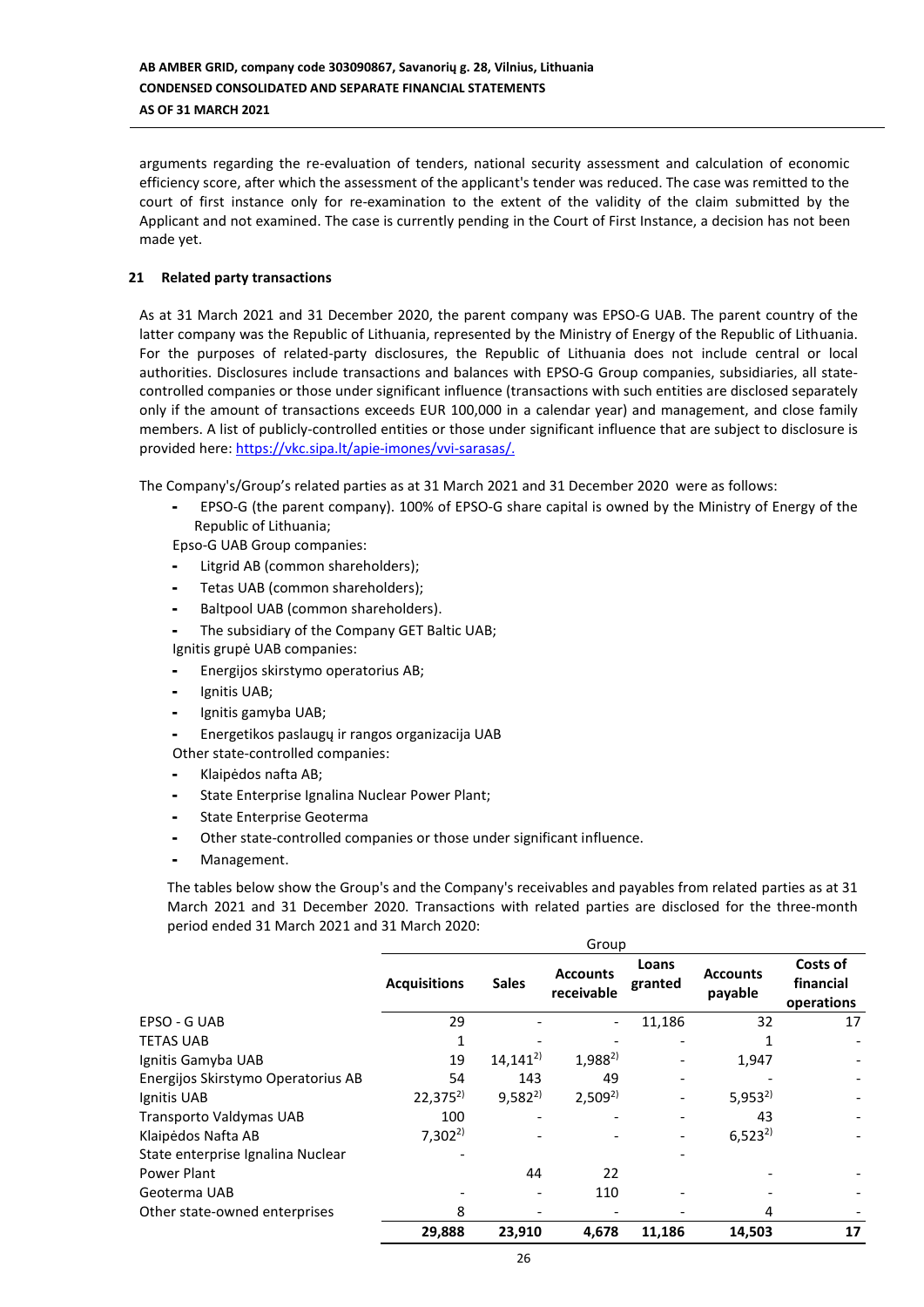arguments regarding the re-evaluation of tenders, national security assessment and calculation of economic efficiency score, after which the assessment of the applicant's tender was reduced. The case was remitted to the court of first instance only for re-examination to the extent of the validity of the claim submitted by the Applicant and not examined. The case is currently pending in the Court of First Instance, a decision has not been made yet.

## **21 Related party transactions**

As at 31 March 2021 and 31 December 2020, the parent company was EPSO-G UAB. The parent country of the latter company was the Republic of Lithuania, represented by the Ministry of Energy of the Republic of Lithuania. For the purposes of related-party disclosures, the Republic of Lithuania does not include central or local authorities. Disclosures include transactions and balances with EPSO-G Group companies, subsidiaries, all statecontrolled companies or those under significant influence (transactions with such entities are disclosed separately only if the amount of transactions exceeds EUR 100,000 in a calendar year) and management, and close family members. A list of publicly-controlled entities or those under significant influence that are subject to disclosure is provided here: [https://vkc.sipa.lt/apie-imones/vvi-sarasas/.](https://vkc.sipa.lt/apie-imones/vvi-sarasas/)

The Company's/Group's related parties as at 31 March 2021 and 31 December 2020 were as follows:

- EPSO-G (the parent company). 100% of EPSO-G share capital is owned by the Ministry of Energy of the Republic of Lithuania;

Epso-G UAB Group companies:

- Litgrid AB (common shareholders);
- Tetas UAB (common shareholders);
- Baltpool UAB (common shareholders).
- The subsidiary of the Company GET Baltic UAB; Ignitis grupė UAB companies:
- Energijos skirstymo operatorius AB;
- Ignitis UAB;
- Ignitis gamyba UAB;

- Energetikos paslaugų ir rangos organizacija UAB

Other state-controlled companies:

- Klaipėdos nafta AB;
- State Enterprise Ignalina Nuclear Power Plant;
- State Enterprise Geoterma
- Other state-controlled companies or those under significant influence.
- Management.

The tables below show the Group's and the Company's receivables and payables from related parties as at 31 March 2021 and 31 December 2020. Transactions with related parties are disclosed for the three-month period ended 31 March 2021 and 31 March 2020:

|                                    | Group               |              |                               |                          |                            |                                     |  |
|------------------------------------|---------------------|--------------|-------------------------------|--------------------------|----------------------------|-------------------------------------|--|
|                                    | <b>Acquisitions</b> | <b>Sales</b> | <b>Accounts</b><br>receivable | Loans<br>granted         | <b>Accounts</b><br>payable | Costs of<br>financial<br>operations |  |
| EPSO - G UAB                       | 29                  |              |                               | 11,186                   | 32                         | 17                                  |  |
| <b>TETAS UAB</b>                   |                     |              |                               |                          |                            |                                     |  |
| Ignitis Gamyba UAB                 | 19                  | $14,141^{2}$ | $1,988^{2}$                   |                          | 1,947                      |                                     |  |
| Energijos Skirstymo Operatorius AB | 54                  | 143          | 49                            | $\overline{\phantom{a}}$ |                            |                                     |  |
| Ignitis UAB                        | $22,375^{2}$        | $9,582^{2}$  | $2,509^{2}$                   |                          | $5,953^{2}$                | $\overline{\phantom{a}}$            |  |
| Transporto Valdymas UAB            | 100                 |              |                               |                          | 43                         |                                     |  |
| Klaipėdos Nafta AB                 | $7,302^{2}$         |              |                               |                          | $6,523^{2}$                |                                     |  |
| State enterprise Ignalina Nuclear  |                     |              |                               |                          |                            |                                     |  |
| Power Plant                        |                     | 44           | 22                            |                          |                            |                                     |  |
| Geoterma UAB                       |                     |              | 110                           |                          |                            |                                     |  |
| Other state-owned enterprises      | 8                   |              |                               |                          | 4                          |                                     |  |
|                                    | 29,888              | 23,910       | 4,678                         | 11,186                   | 14,503                     | 17                                  |  |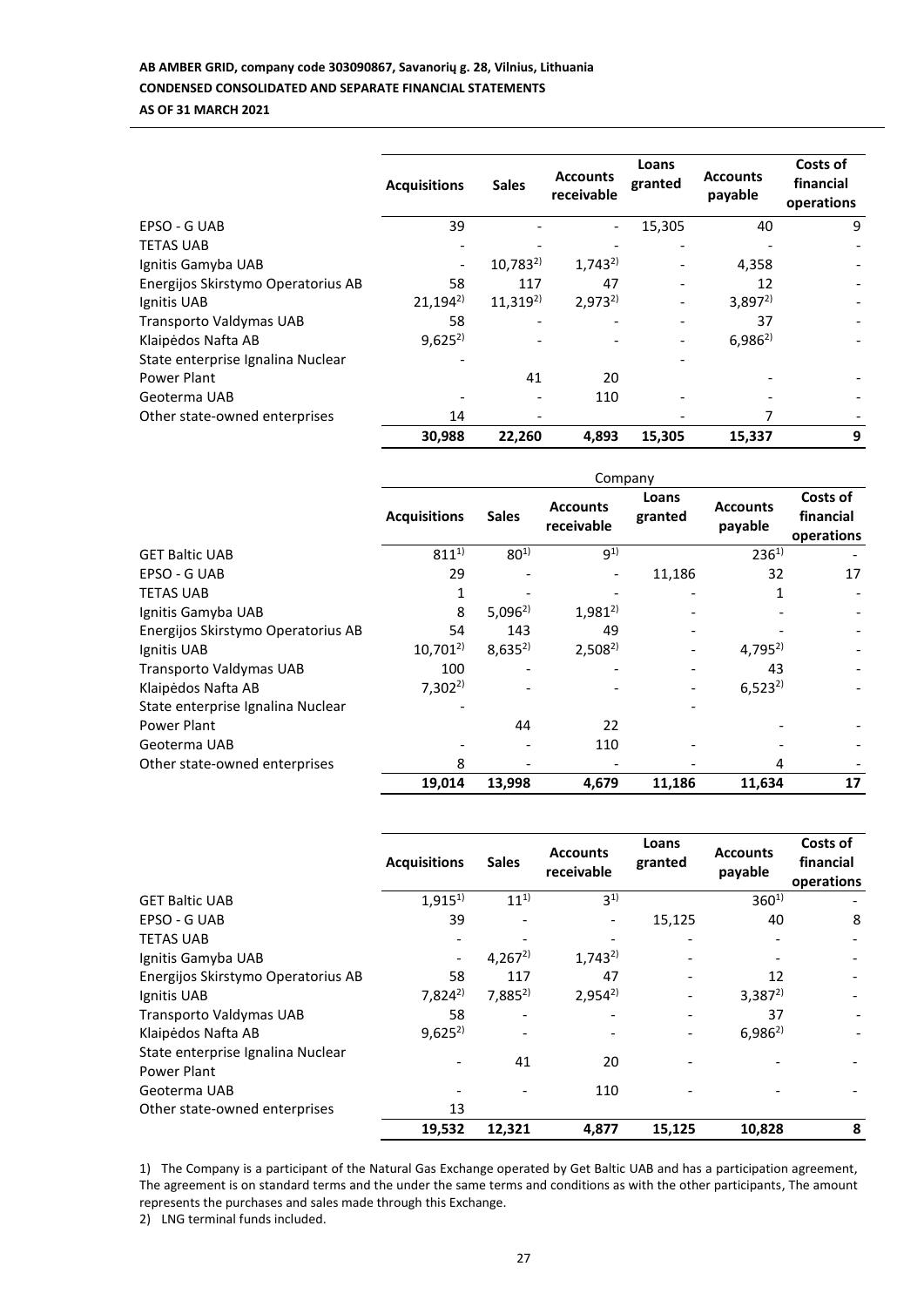# **AB AMBER GRID, company code 303090867, Savanorių g. 28, Vilnius, Lithuania CONDENSED CONSOLIDATED AND SEPARATE FINANCIAL STATEMENTS AS OF 31 MARCH 2021**

|                                    | <b>Acquisitions</b> | <b>Sales</b> | <b>Accounts</b><br>receivable | Loans<br>granted | <b>Accounts</b><br>payable | Costs of<br>financial<br>operations |
|------------------------------------|---------------------|--------------|-------------------------------|------------------|----------------------------|-------------------------------------|
| EPSO - G UAB                       | 39                  |              |                               | 15,305           | 40                         | 9                                   |
| <b>TETAS UAB</b>                   |                     |              |                               |                  |                            |                                     |
| Ignitis Gamyba UAB                 |                     | $10,783^{2}$ | $1,743^{2}$                   |                  | 4,358                      |                                     |
| Energijos Skirstymo Operatorius AB | 58                  | 117          | 47                            |                  | 12                         |                                     |
| Ignitis UAB                        | $21,194^{2}$        | $11,319^{2}$ | $2,973^{2}$                   |                  | $3,897^{2}$                |                                     |
| Transporto Valdymas UAB            | 58                  |              |                               |                  | 37                         |                                     |
| Klaipėdos Nafta AB                 | $9,625^{2}$         |              |                               |                  | $6,986^{2}$                |                                     |
| State enterprise Ignalina Nuclear  |                     |              |                               |                  |                            |                                     |
| Power Plant                        |                     | 41           | 20                            |                  |                            |                                     |
| Geoterma UAB                       |                     |              | 110                           |                  |                            |                                     |
| Other state-owned enterprises      | 14                  |              |                               |                  |                            |                                     |
|                                    | 30,988              | 22,260       | 4,893                         | 15,305           | 15,337                     | 9                                   |

|                                    | Company             |              |                               |                  |                            |                                     |  |
|------------------------------------|---------------------|--------------|-------------------------------|------------------|----------------------------|-------------------------------------|--|
|                                    | <b>Acquisitions</b> | <b>Sales</b> | <b>Accounts</b><br>receivable | Loans<br>granted | <b>Accounts</b><br>payable | Costs of<br>financial<br>operations |  |
| <b>GET Baltic UAB</b>              | $811^{1}$           | $80^{1}$     | $9^{1}$                       |                  | $236^{1}$                  |                                     |  |
| EPSO - G UAB                       | 29                  |              |                               | 11,186           | 32                         | 17                                  |  |
| <b>TETAS UAB</b>                   |                     |              |                               |                  |                            |                                     |  |
| Ignitis Gamyba UAB                 | 8                   | $5,096^{2}$  | $1,981^{2}$                   |                  |                            |                                     |  |
| Energijos Skirstymo Operatorius AB | 54                  | 143          | 49                            |                  |                            |                                     |  |
| Ignitis UAB                        | $10,701^{2}$        | $8,635^{2}$  | $2,508^{2}$                   |                  | $4,795^{2}$                |                                     |  |
| Transporto Valdymas UAB            | 100                 |              |                               |                  | 43                         |                                     |  |
| Klaipėdos Nafta AB                 | $7,302^{2}$         |              |                               |                  | $6,523^{2}$                |                                     |  |
| State enterprise Ignalina Nuclear  |                     |              |                               |                  |                            |                                     |  |
| Power Plant                        |                     | 44           | 22                            |                  |                            |                                     |  |
| Geoterma UAB                       |                     |              | 110                           |                  |                            |                                     |  |
| Other state-owned enterprises      | 8                   |              |                               |                  | 4                          |                                     |  |
|                                    | 19,014              | 13,998       | 4,679                         | 11,186           | 11,634                     | 17                                  |  |

|                                                  | <b>Acquisitions</b> | <b>Sales</b> | <b>Accounts</b><br>receivable | Loans<br>granted | <b>Accounts</b><br>payable | Costs of<br>financial<br>operations |
|--------------------------------------------------|---------------------|--------------|-------------------------------|------------------|----------------------------|-------------------------------------|
| <b>GET Baltic UAB</b>                            | $1,915^{1}$         | $11^{1}$     | $3^{1}$                       |                  | $360^{1}$                  |                                     |
| EPSO - G UAB                                     | 39                  |              |                               | 15,125           | 40                         | 8                                   |
| <b>TETAS UAB</b>                                 |                     |              |                               |                  |                            |                                     |
| Ignitis Gamyba UAB                               |                     | $4,267^{2}$  | $1,743^{2}$                   |                  |                            |                                     |
| Energijos Skirstymo Operatorius AB               | 58                  | 117          | 47                            |                  | 12                         |                                     |
| Ignitis UAB                                      | $7,824^{2}$         | $7,885^{2}$  | $2,954^{2}$                   |                  | $3,387^{2}$                |                                     |
| Transporto Valdymas UAB                          | 58                  |              |                               |                  | 37                         |                                     |
| Klaipėdos Nafta AB                               | $9,625^{2}$         |              |                               |                  | $6,986^{2}$                |                                     |
| State enterprise Ignalina Nuclear<br>Power Plant |                     | 41           | 20                            |                  |                            |                                     |
| Geoterma UAB                                     |                     |              | 110                           |                  |                            |                                     |
| Other state-owned enterprises                    | 13                  |              |                               |                  |                            |                                     |
|                                                  | 19,532              | 12,321       | 4,877                         | 15,125           | 10,828                     | 8                                   |

1) The Company is a participant of the Natural Gas Exchange operated by Get Baltic UAB and has a participation agreement, The agreement is on standard terms and the under the same terms and conditions as with the other participants, The amount represents the purchases and sales made through this Exchange.

2) LNG terminal funds included.